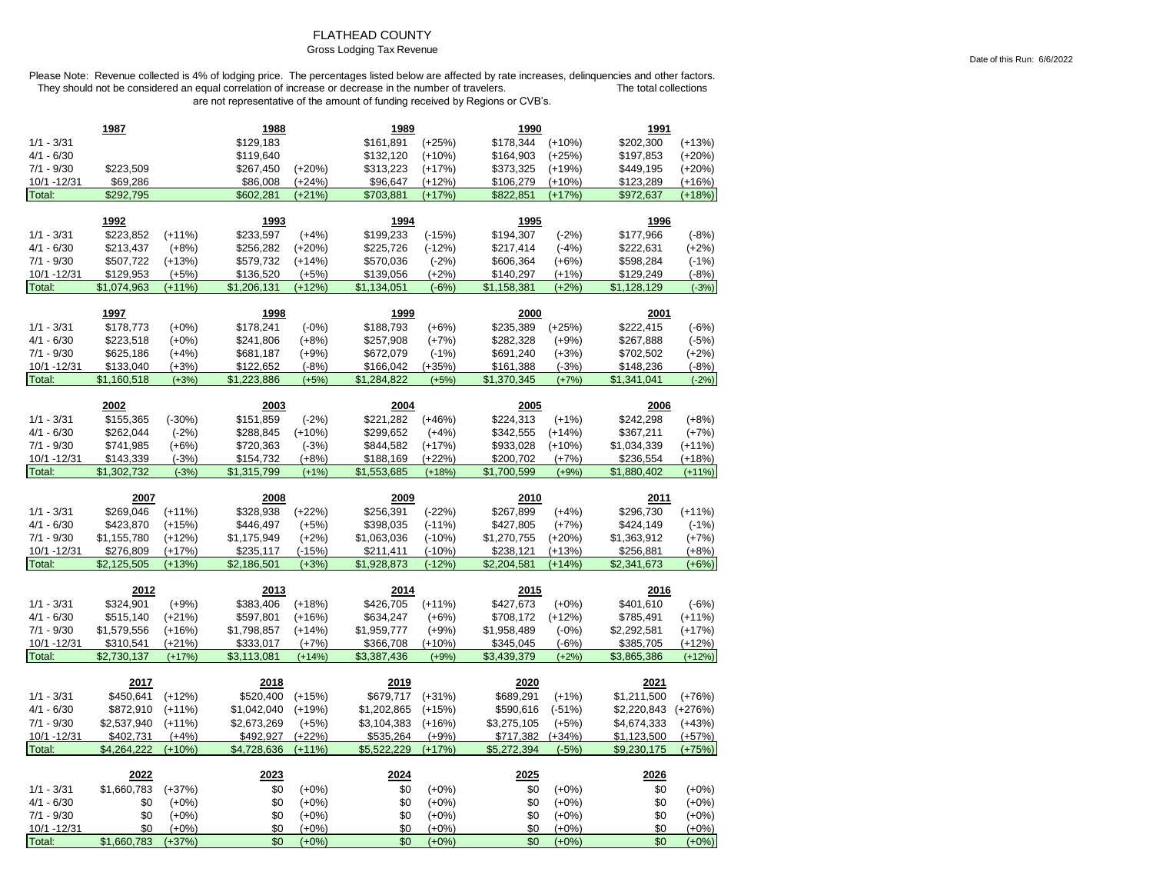### FLATHEAD COUNTY

### Gross Lodging Tax Revenue

Date of this Run: 6/6/2022

|                              | 1987                     |                      | 1988                     |                     | 1989                     |                     | 1990                     |                    | 1991                     |                      |
|------------------------------|--------------------------|----------------------|--------------------------|---------------------|--------------------------|---------------------|--------------------------|--------------------|--------------------------|----------------------|
| $1/1 - 3/31$                 |                          |                      | \$129,183                |                     | \$161,891                | $(+25%)$            | \$178,344                | $(+10%)$           | \$202,300                | $(+13%)$             |
| $4/1 - 6/30$                 |                          |                      | \$119,640                |                     | \$132,120                | $(+10%)$            | \$164,903                | $(+25%)$           | \$197,853                | $(+20%)$             |
| $7/1 - 9/30$                 | \$223,509                |                      | \$267,450                | $(+20%)$            | \$313,223                | $(+17%)$            | \$373,325                | $(+19%)$           | \$449,195                | $(+20%)$             |
| 10/1 - 12/31                 | \$69,286                 |                      | \$86,008                 | $(+24%)$            | \$96,647                 | $(+12%)$            | \$106,279                | $(+10%)$           | \$123,289                | $(+16%)$             |
| Total:                       | \$292,795                |                      | \$602,281                | $(+21%)$            | \$703,881                | $(+17%)$            | \$822,851                | $(+17%)$           | \$972,637                | $(+18%)$             |
|                              |                          |                      |                          |                     |                          |                     |                          |                    |                          |                      |
|                              | 1992                     |                      | 1993                     |                     | 1994                     |                     | 1995                     |                    | 1996                     |                      |
| $1/1 - 3/31$                 | \$223,852                | $(+11%)$             | \$233,597                | $(+4%)$             | \$199,233                | $(-15%)$            | \$194,307                | $(-2%)$            | \$177,966                | $(-8%)$              |
| $4/1 - 6/30$                 | \$213,437                | $(+8%)$              | \$256,282                | $(+20%)$            | \$225,726                | $(-12%)$            | \$217,414                | $(-4%)$            | \$222,631                | $(+2%)$              |
| $7/1 - 9/30$                 | \$507,722                | $(+13%)$             | \$579,732                | $(+14%)$            | \$570,036                | $(-2%)$             | \$606,364                | $(+6%)$            | \$598,284                | $(-1%)$              |
| 10/1 - 12/31<br>Total:       | \$129,953<br>\$1,074,963 | $(+5%)$<br>$(+11%)$  | \$136,520<br>\$1,206,131 | $(+5%)$<br>$(+12%)$ | \$139,056<br>\$1,134,051 | $(+2%)$<br>$(-6%)$  | \$140,297<br>\$1,158,381 | $(+1%)$<br>$(+2%)$ | \$129,249<br>\$1,128,129 | $(-8%)$<br>$(-3%)$   |
|                              |                          |                      |                          |                     |                          |                     |                          |                    |                          |                      |
|                              | 1997                     |                      | 1998                     |                     | 1999                     |                     | 2000                     |                    | 2001                     |                      |
| $1/1 - 3/31$                 | \$178,773                | $(+0%)$              | \$178,241                | $(-0%)$             | \$188,793                | $(+6%)$             | \$235,389                | $(+25%)$           | \$222,415                | $(-6%)$              |
| $4/1 - 6/30$                 | \$223,518                | $(+0%)$              | \$241,806                | $(+8%)$             | \$257,908                | $(+7%)$             | \$282,328                | $(+9%)$            | \$267,888                | $(-5%)$              |
| $7/1 - 9/30$                 | \$625,186                | $(+4%)$              | \$681,187                | $(+9%)$             | \$672,079                | $(-1%)$             | \$691,240                | $(+3%)$            | \$702,502                | $(+2%)$              |
| 10/1 - 12/31                 | \$133,040                | $(+3%)$              | \$122,652                | $(-8%)$             | \$166,042                | $(+35%)$            | \$161,388                | $(-3%)$            | \$148,236                | $(-8%)$              |
| Total:                       | \$1,160,518              | $(+3%)$              | \$1,223,886              | $(+5%)$             | \$1,284,822              | $(+5%)$             | \$1,370,345              | $(+7%)$            | \$1,341,041              | $(-2%)$              |
|                              |                          |                      |                          |                     |                          |                     |                          |                    |                          |                      |
| $1/1 - 3/31$                 | 2002<br>\$155,365        | $(-30%)$             | 2003<br>\$151,859        | $(-2%)$             | 2004<br>\$221,282        | $(+46%)$            | 2005<br>\$224,313        | $(+1%)$            | 2006<br>\$242,298        | $(+8%)$              |
| $4/1 - 6/30$                 | \$262,044                |                      | \$288,845                | $(+10%)$            | \$299,652                | $(+4%)$             | \$342,555                | $(+14%)$           | \$367,211                |                      |
| $7/1 - 9/30$                 | \$741,985                | $(-2%)$              | \$720,363                | $(-3%)$             | \$844,582                | $(+17%)$            | \$933,028                | $(+10%)$           | \$1,034,339              | $(+7%)$<br>$(+11%)$  |
| 10/1 -12/31                  | \$143,339                | $(+6%)$<br>$(-3%)$   | \$154,732                | $(+8%)$             | \$188,169                | $(+22%)$            | \$200,702                | $(+7%)$            | \$236,554                | $(+18%)$             |
| Total:                       | \$1,302,732              | $(-3%)$              | \$1,315,799              | $(+1%)$             | \$1,553,685              | $(+18%)$            | \$1,700,599              | $(+9%)$            | \$1,880,402              | $(+11%)$             |
|                              |                          |                      |                          |                     |                          |                     |                          |                    |                          |                      |
|                              |                          |                      |                          |                     |                          |                     |                          |                    |                          |                      |
|                              | 2007                     |                      | 2008                     |                     | 2009                     |                     | 2010                     |                    | 2011                     |                      |
| $1/1 - 3/31$                 | \$269,046                | $(+11%)$             | \$328,938                | $(+22%)$            | \$256,391                | $(-22%)$            | \$267,899                | $(+4%)$            | \$296,730                | $(+11%)$             |
| $4/1 - 6/30$                 | \$423,870                | $(+15%)$             | \$446,497                | $(+5%)$             | \$398,035                | $(-11%)$            | \$427,805                | $(+7%)$            | \$424,149                | $(-1%)$              |
| $7/1 - 9/30$                 | \$1,155,780              | $(+12%)$             | \$1,175,949              | $(+2%)$             | \$1,063,036              | $(-10%)$            | \$1,270,755              | $(+20%)$           | \$1,363,912              | $(+7%)$              |
| 10/1 -12/31                  | \$276,809                | $(+17%)$             | \$235,117                | $(-15%)$            | \$211,411                | $(-10%)$            | \$238,121                | (+13%)             | \$256,881                | $(+8%)$              |
| Total:                       | \$2,125,505              | $(+13%)$             | \$2,186,501              | $(+3%)$             | \$1,928,873              | $(-12%)$            | \$2,204,581              | $(+14%)$           | \$2,341,673              | $(+6%)$              |
|                              |                          |                      |                          |                     |                          |                     |                          |                    |                          |                      |
|                              | 2012                     |                      | 2013                     |                     | 2014                     |                     | 2015                     |                    | 2016                     |                      |
| $1/1 - 3/31$                 | \$324,901                | $(+9%)$              | \$383,406                | $(+18%)$            | \$426,705                | $(+11%)$            | \$427,673                | $(+0%)$            | \$401,610                | $(-6%)$              |
| $4/1 - 6/30$                 | \$515,140                | $(+21%)$             | \$597,801                | $(+16%)$            | \$634,247                | $(+6%)$             | \$708,172                | $(+12%)$           | \$785,491                | $(+11%)$             |
| $7/1 - 9/30$                 | \$1,579,556              | $(+16%)$             | \$1,798,857              | $(+14%)$            | \$1,959,777              | $(+9%)$             | \$1,958,489              | $(-0%)$            | \$2,292,581              | $(+17%)$             |
| 10/1 - 12/31<br>Total:       | \$310,541<br>\$2,730,137 | $(+21%)$<br>$(+17%)$ | \$333,017<br>\$3,113,081 | $(+7%)$<br>$(+14%)$ | \$366,708<br>\$3,387,436 | $(+10%)$<br>$(+9%)$ | \$345,045<br>\$3,439,379 | $(-6%)$<br>$(+2%)$ | \$385,705<br>\$3,865,386 | $(+12%)$<br>$(+12%)$ |
|                              |                          |                      |                          |                     |                          |                     |                          |                    |                          |                      |
|                              | 2017                     |                      | 2018                     |                     | 2019                     |                     | 2020                     |                    | 2021                     |                      |
| $1/1 - 3/31$                 | \$450,641                | $(+12%)$             | \$520,400                | $(+15%)$            | \$679,717                | $(+31%)$            | \$689,291                | $(+1%)$            | \$1,211,500              | $(+76%)$             |
| $4/1 - 6/30$                 | \$872,910                | $(+11%)$             | \$1,042,040              | $(+19%)$            | \$1,202,865              | $(+15%)$            | \$590,616                | $(-51%)$           | \$2,220,843              | $(+276%)$            |
| $7/1 - 9/30$                 | \$2,537,940              | $(+11%)$             | \$2,673,269              | $(+5%)$             | \$3,104,383              | $(+16%)$            | \$3,275,105              | $(+5%)$            | \$4,674,333              | $(+43%)$             |
| 10/1 - 12/31                 | \$402,731                | $(+4%)$              | \$492,927                | $(+22%)$            | \$535,264                | $(+9%)$             | \$717,382                | $(+34%)$           | \$1,123,500              | $(+57%)$             |
| Total:                       | \$4,264,222              | $(+10%)$             | \$4,728,636              | $(+11%)$            | \$5,522,229              | $(+17%)$            | \$5,272,394              | $(-5%)$            | \$9,230,175              | $(+75%)$             |
|                              |                          |                      |                          |                     |                          |                     |                          |                    |                          |                      |
|                              | 2022                     |                      | 2023                     |                     | 2024                     |                     | 2025                     |                    | 2026                     |                      |
| $1/1 - 3/31$                 | \$1,660,783              | $(+37%)$             | \$0                      | $(+0%)$             | \$0                      | $(+0%)$             | \$0                      | $(+0\%)$           | \$0                      | $(+0%)$              |
| $4/1 - 6/30$                 | \$0                      | $(+0\%)$             | \$0                      | $(+0%)$             | \$0                      | $(+0%)$             | \$0                      | $(+0%)$            | \$0                      | $(+0%)$              |
| $7/1 - 9/30$<br>10/1 - 12/31 | \$0<br>\$0               | $(+0%)$<br>$(+0%)$   | \$0<br>\$0               | $(+0%)$<br>$(+0%)$  | \$0<br>\$0               | $(+0\%)$<br>$(+0%)$ | \$0<br>\$0               | $(+0%)$<br>$(+0%)$ | \$0<br>\$0               | $(+0%)$<br>$(+0%)$   |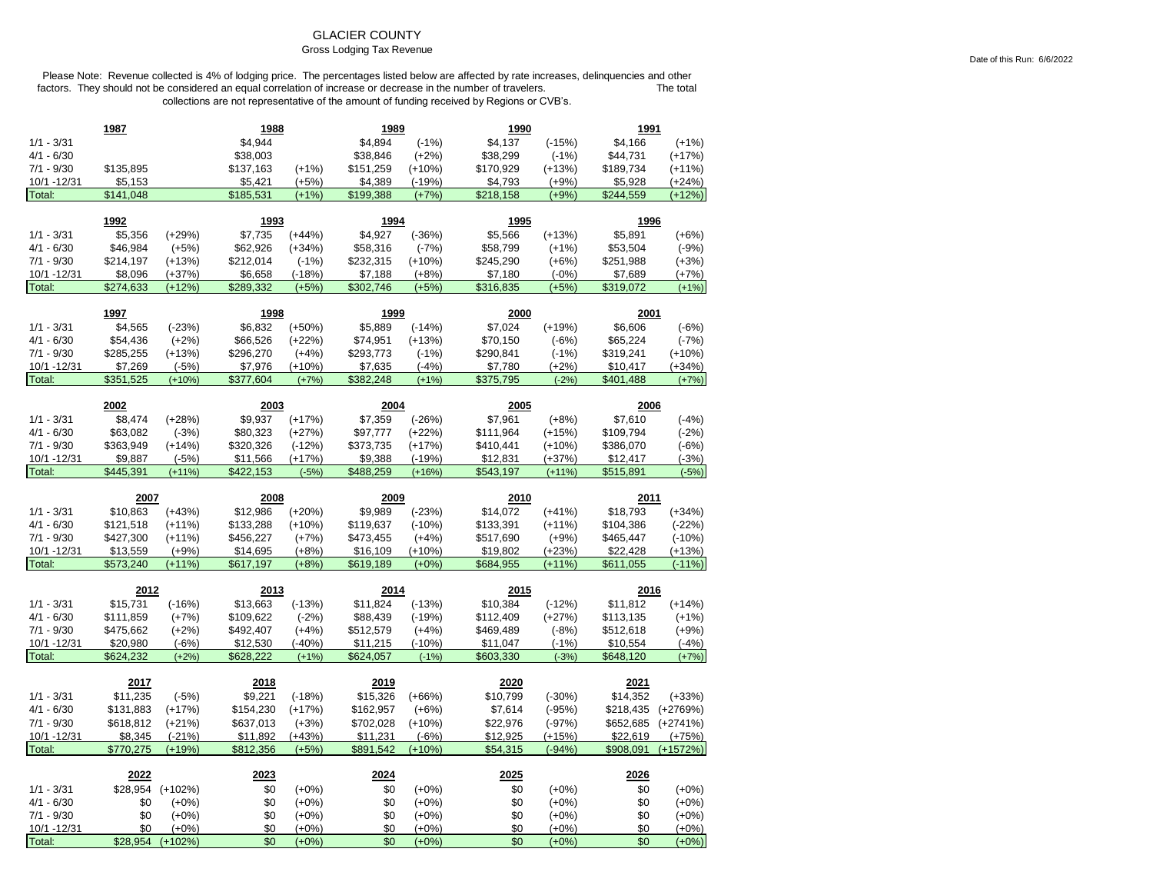## GLACIER COUNTY

### Gross Lodging Tax Revenue

Please Note: Revenue collected is 4% of lodging price. The percentages listed below are affected by rate increases, delinquencies and other factors. They should not be considered an equal correlation of increase or decrease in the number of travelers. The total The total collections are not representative of the amount of funding received by Regions or CVB's.

| \$4,944<br>$1/1 - 3/31$<br>\$4,894<br>$(-1%)$<br>\$4,137<br>$(-15%)$<br>\$4,166<br>$(+1%)$<br>$4/1 - 6/30$<br>\$38,003<br>\$38,846<br>$(+2%)$<br>\$38,299<br>\$44,731<br>$(+17%)$<br>$(-1%)$<br>$7/1 - 9/30$<br>\$135,895<br>\$137,163<br>$(+1%)$<br>\$151,259<br>\$170,929<br>\$189,734<br>$(+10%)$<br>$(+13%)$<br>$(+11%)$<br>10/1 - 12/31<br>\$5,153<br>\$5,421<br>$(+5%)$<br>\$4,389<br>$(-19%)$<br>\$4,793<br>$(+9%)$<br>\$5,928<br>$(+24%)$<br>Total:<br>\$141,048<br>\$185,531<br>$(+1%)$<br>\$199,388<br>$(+7%)$<br>\$218,158<br>\$244,559<br>$(+12%)$<br>$(+9%)$<br>1992<br>1993<br>1994<br>1995<br>1996<br>\$5,356<br>$(+29%)$<br>\$7,735<br>$(+44%)$<br>$(-36%)$<br>\$5,566<br>$(+13%)$<br>\$5,891<br>$1/1 - 3/31$<br>\$4,927<br>$(+6%)$<br>$4/1 - 6/30$<br>\$62,926<br>\$46,984<br>$(+5%)$<br>$(+34%)$<br>\$58,316<br>$(-7%)$<br>\$58,799<br>$(+1%)$<br>\$53,504<br>$(-9%)$<br>$7/1 - 9/30$<br>\$214,197<br>$(+13%)$<br>\$212,014<br>$(-1%)$<br>\$232,315<br>$(+10%)$<br>\$245,290<br>$(+6%)$<br>\$251,988<br>$(+3%)$<br>10/1 - 12/31<br>\$8,096<br>$(+37%)$<br>\$6,658<br>\$7,689<br>$(+7%)$<br>$(-18%)$<br>\$7,188<br>$(+8%)$<br>\$7,180<br>$(-0%)$<br>Total:<br>\$274,633<br>$(+12%)$<br>\$302,746<br>\$316,835<br>\$319,072<br>\$289,332<br>$(+5%)$<br>(+5%)<br>(+5%)<br>$(+1%)$<br>1997<br>1999<br>1998<br>2000<br>2001<br>$1/1 - 3/31$<br>\$4,565<br>$(-23%)$<br>\$6,832<br>$(+50%)$<br>\$5,889<br>$(-14%)$<br>\$7,024<br>$(+19%)$<br>\$6,606<br>$(-6%)$<br>\$66,526<br>$(+22%)$<br>$4/1 - 6/30$<br>\$54,436<br>$(+2%)$<br>\$74,951<br>$(+13%)$<br>\$70,150<br>\$65,224<br>$(-7%)$<br>$(-6%)$<br>$7/1 - 9/30$<br>\$285,255<br>$(+13%)$<br>\$296,270<br>$(+4%)$<br>\$293,773<br>\$290,841<br>\$319,241<br>$(+10%)$<br>$(-1%)$<br>$(-1%)$<br>10/1 -12/31<br>\$7,269<br>$(-5%)$<br>\$7,976<br>$(+10%)$<br>$(-4%)$<br>$(+2%)$<br>\$7,635<br>\$7,780<br>\$10,417<br>$(+34%)$<br>Total:<br>\$351,525<br>$(+10%)$<br>\$377,604<br>$(+7%)$<br>\$382,248<br>$(+1%)$<br>\$375,795<br>$(-2%)$<br>\$401,488<br>$(+7%)$<br>2002<br>2003<br>2004<br>2005<br>2006<br>\$8,474<br>$(+28%)$<br>\$9,937<br>$(+17%)$<br>\$7,359<br>$(-26%)$<br>\$7,961<br>\$7,610<br>$(-4%)$<br>$1/1 - 3/31$<br>$(+8%)$<br>\$80,323<br>$4/1 - 6/30$<br>\$63,082<br>$(-3%)$<br>$(+27%)$<br>\$97,777<br>\$111,964<br>\$109,794<br>$(+22%)$<br>$(+15%)$<br>$(-2%)$<br>\$320,326<br>$7/1 - 9/30$<br>\$363,949<br>$(+14%)$<br>$(-12%)$<br>\$373,735<br>$(+17%)$<br>\$410,441<br>$(+10%)$<br>\$386,070<br>$(-6%)$<br>10/1 - 12/31<br>\$9,887<br>$(-5%)$<br>\$11,566<br>(+17%)<br>\$9,388<br>$(-19%)$<br>\$12,831<br>(+37%)<br>\$12,417<br>$(-3%)$<br>Total:<br>\$445,391<br>\$422,153<br>\$488,259<br>\$543,197<br>\$515,891<br>$(+11%)$<br>$(-5%)$<br>$(+16%)$<br>$(+11%)$<br>$(-5%)$<br>2007<br>2008<br>2011<br>2009<br>2010<br>$1/1 - 3/31$<br>\$10,863<br>$(+43%)$<br>\$12,986<br>$(+20%)$<br>\$9,989<br>$(-23%)$<br>\$14,072<br>$(+41%)$<br>\$18,793<br>$(+34%)$<br>\$121,518<br>\$133,288<br>\$133,391<br>$4/1 - 6/30$<br>$(+11%)$<br>$(+10%)$<br>\$119,637<br>$(-10%)$<br>$(+11%)$<br>\$104,386<br>$(-22%)$<br>$7/1 - 9/30$<br>\$427,300<br>$(+11%)$<br>\$456,227<br>$(+7%)$<br>\$473,455<br>$(+4%)$<br>\$517,690<br>$(+9%)$<br>\$465,447<br>$(-10%)$<br>\$14,695<br>10/1 -12/31<br>\$13,559<br>$(+9%)$<br>$(+8%)$<br>\$16,109<br>(+10%)<br>\$19,802<br>(+23%)<br>\$22,428<br>$(+13%)$<br>\$573,240<br>Total:<br>$(+11%)$<br>\$617,197<br>$(+8%)$<br>\$619,189<br>$(+0%)$<br>\$684,955<br>$(+11%)$<br>\$611,055<br>$(-11\%)$<br>2012<br>2014<br>2016<br>2013<br>2015<br>$(-16%)$<br>\$13,663<br>$(-13%)$<br>$(-12%)$<br>$1/1 - 3/31$<br>\$15,731<br>\$11,824<br>$(-13%)$<br>\$10,384<br>\$11,812<br>$(+14%)$<br>$4/1 - 6/30$<br>\$111,859<br>$(+7%)$<br>\$109,622<br>$(-2%)$<br>\$88,439<br>\$112,409<br>$(-19%)$<br>$(+27%)$<br>\$113,135<br>$(+1%)$<br>$7/1 - 9/30$<br>\$475,662<br>$(+2%)$<br>\$492,407<br>\$512,579<br>\$469,489<br>\$512,618<br>$(+4%)$<br>$(+4%)$<br>$(-8%)$<br>$(+9%)$<br>10/1 - 12/31<br>\$20,980<br>$(-6%)$<br>\$12,530<br>$(-40%)$<br>\$11,215<br>$(-10%)$<br>\$11,047<br>$(-1%)$<br>\$10,554<br>$(-4%)$<br>Total:<br>\$624,232<br>$(+2%)$<br>\$628,222<br>\$624,057<br>\$603,330<br>\$648,120<br>$(+1%)$<br>$(-1%)$<br>$(-3%)$<br>$(+7%)$<br>2017<br>2018<br>2019<br>2020<br>2021<br>\$11,235<br>$(-5%)$<br>\$9,221<br>$(-18%)$<br>\$15,326<br>$(+66%)$<br>\$10,799<br>\$14,352<br>$(+33%)$<br>$1/1 - 3/31$<br>$(-30%)$<br>\$154,230<br>$4/1 - 6/30$<br>\$131,883<br>$(+17%)$<br>$(+17%)$<br>\$162,957<br>\$7,614<br>$(-95%)$<br>\$218,435<br>$(+2769%)$<br>$(+6%)$<br>\$618,812<br>\$637,013<br>\$702,028<br>$7/1 - 9/30$<br>$(+21%)$<br>$(+3%)$<br>$(+10%)$<br>\$22,976<br>$(-97%)$<br>\$652,685<br>$(+2741%)$<br>10/1 - 12/31<br>\$8,345<br>\$11,892<br>$(+43%)$<br>\$11,231<br>\$12,925<br>\$22,619<br>$(-21%)$<br>$(-6%)$<br>$(+15%)$<br>$(+75%)$<br>\$770,275<br>$(+19%)$<br>\$812,356<br>\$891,542<br>\$54,315<br>$(-94%)$<br>\$908,091<br>$(+1572%)$<br>Total:<br>$(+5%)$<br>$(+10%)$<br>2022<br>2023<br>2024<br>2025<br>2026<br>$1/1 - 3/31$<br>\$28,954<br>$(+102%)$<br>\$0<br>$(+0%)$<br>\$0<br>$(+0%)$<br>\$0<br>$(+0%)$<br>\$0<br>$(+0\%)$<br>$4/1 - 6/30$<br>\$0<br>\$0<br>\$0<br>$(+0\%)$<br>\$0<br>$(+0%)$<br>$(+0%)$<br>$(+0%)$<br>\$0<br>$(+0\%)$<br>$7/1 - 9/30$<br>\$0<br>\$0<br>\$0<br>\$0<br>\$0<br>$(+0\%)$<br>$(+0%)$<br>$(+0%)$<br>$(+0%)$<br>$(+0%)$<br>10/1 - 12/31<br>\$0<br>\$0<br>\$0<br>\$0<br>$(+0%)$<br>\$0<br>$(+0%)$<br>$(+0%)$<br>$(+0%)$<br>$(+0%)$<br>Total:<br>\$28,954<br>\$0<br>\$0<br>$(+0%)$<br>$(+102%)$<br>$(+0%)$<br>\$0<br>$(+0%)$<br>\$0<br>$(+0%)$ | 1987 | 1988 | 1989 | 1990 | 1991 |  |
|---------------------------------------------------------------------------------------------------------------------------------------------------------------------------------------------------------------------------------------------------------------------------------------------------------------------------------------------------------------------------------------------------------------------------------------------------------------------------------------------------------------------------------------------------------------------------------------------------------------------------------------------------------------------------------------------------------------------------------------------------------------------------------------------------------------------------------------------------------------------------------------------------------------------------------------------------------------------------------------------------------------------------------------------------------------------------------------------------------------------------------------------------------------------------------------------------------------------------------------------------------------------------------------------------------------------------------------------------------------------------------------------------------------------------------------------------------------------------------------------------------------------------------------------------------------------------------------------------------------------------------------------------------------------------------------------------------------------------------------------------------------------------------------------------------------------------------------------------------------------------------------------------------------------------------------------------------------------------------------------------------------------------------------------------------------------------------------------------------------------------------------------------------------------------------------------------------------------------------------------------------------------------------------------------------------------------------------------------------------------------------------------------------------------------------------------------------------------------------------------------------------------------------------------------------------------------------------------------------------------------------------------------------------------------------------------------------------------------------------------------------------------------------------------------------------------------------------------------------------------------------------------------------------------------------------------------------------------------------------------------------------------------------------------------------------------------------------------------------------------------------------------------------------------------------------------------------------------------------------------------------------------------------------------------------------------------------------------------------------------------------------------------------------------------------------------------------------------------------------------------------------------------------------------------------------------------------------------------------------------------------------------------------------------------------------------------------------------------------------------------------------------------------------------------------------------------------------------------------------------------------------------------------------------------------------------------------------------------------------------------------------------------------------------------------------------------------------------------------------------------------------------------------------------------------------------------------------------------------------------------------------------------------------------------------------------------------------------------------------------------------------------------------------------------------------------------------------------------------------------------------------------------------------------------------------------------------------------------------------------------------------------------------------------------------------------------------------------------------------------------------------------------------------------------------------------------------------------------------------------------------------------------------------------------------------------------------------------------------------------------------------------------------------------------------------------------------------------------------------------------------------------------------------------------------------------------------------------------------------------------------------------------------------------------------------------------------------------------------------------------------------------------------------------------------------------------------------------------------------------------------------------------------------------------------------------------------------------------------------|------|------|------|------|------|--|
|                                                                                                                                                                                                                                                                                                                                                                                                                                                                                                                                                                                                                                                                                                                                                                                                                                                                                                                                                                                                                                                                                                                                                                                                                                                                                                                                                                                                                                                                                                                                                                                                                                                                                                                                                                                                                                                                                                                                                                                                                                                                                                                                                                                                                                                                                                                                                                                                                                                                                                                                                                                                                                                                                                                                                                                                                                                                                                                                                                                                                                                                                                                                                                                                                                                                                                                                                                                                                                                                                                                                                                                                                                                                                                                                                                                                                                                                                                                                                                                                                                                                                                                                                                                                                                                                                                                                                                                                                                                                                                                                                                                                                                                                                                                                                                                                                                                                                                                                                                                                                                                                                                                                                                                                                                                                                                                                                                                                                                                                                                                                                                                                               |      |      |      |      |      |  |
|                                                                                                                                                                                                                                                                                                                                                                                                                                                                                                                                                                                                                                                                                                                                                                                                                                                                                                                                                                                                                                                                                                                                                                                                                                                                                                                                                                                                                                                                                                                                                                                                                                                                                                                                                                                                                                                                                                                                                                                                                                                                                                                                                                                                                                                                                                                                                                                                                                                                                                                                                                                                                                                                                                                                                                                                                                                                                                                                                                                                                                                                                                                                                                                                                                                                                                                                                                                                                                                                                                                                                                                                                                                                                                                                                                                                                                                                                                                                                                                                                                                                                                                                                                                                                                                                                                                                                                                                                                                                                                                                                                                                                                                                                                                                                                                                                                                                                                                                                                                                                                                                                                                                                                                                                                                                                                                                                                                                                                                                                                                                                                                                               |      |      |      |      |      |  |
|                                                                                                                                                                                                                                                                                                                                                                                                                                                                                                                                                                                                                                                                                                                                                                                                                                                                                                                                                                                                                                                                                                                                                                                                                                                                                                                                                                                                                                                                                                                                                                                                                                                                                                                                                                                                                                                                                                                                                                                                                                                                                                                                                                                                                                                                                                                                                                                                                                                                                                                                                                                                                                                                                                                                                                                                                                                                                                                                                                                                                                                                                                                                                                                                                                                                                                                                                                                                                                                                                                                                                                                                                                                                                                                                                                                                                                                                                                                                                                                                                                                                                                                                                                                                                                                                                                                                                                                                                                                                                                                                                                                                                                                                                                                                                                                                                                                                                                                                                                                                                                                                                                                                                                                                                                                                                                                                                                                                                                                                                                                                                                                                               |      |      |      |      |      |  |
|                                                                                                                                                                                                                                                                                                                                                                                                                                                                                                                                                                                                                                                                                                                                                                                                                                                                                                                                                                                                                                                                                                                                                                                                                                                                                                                                                                                                                                                                                                                                                                                                                                                                                                                                                                                                                                                                                                                                                                                                                                                                                                                                                                                                                                                                                                                                                                                                                                                                                                                                                                                                                                                                                                                                                                                                                                                                                                                                                                                                                                                                                                                                                                                                                                                                                                                                                                                                                                                                                                                                                                                                                                                                                                                                                                                                                                                                                                                                                                                                                                                                                                                                                                                                                                                                                                                                                                                                                                                                                                                                                                                                                                                                                                                                                                                                                                                                                                                                                                                                                                                                                                                                                                                                                                                                                                                                                                                                                                                                                                                                                                                                               |      |      |      |      |      |  |
|                                                                                                                                                                                                                                                                                                                                                                                                                                                                                                                                                                                                                                                                                                                                                                                                                                                                                                                                                                                                                                                                                                                                                                                                                                                                                                                                                                                                                                                                                                                                                                                                                                                                                                                                                                                                                                                                                                                                                                                                                                                                                                                                                                                                                                                                                                                                                                                                                                                                                                                                                                                                                                                                                                                                                                                                                                                                                                                                                                                                                                                                                                                                                                                                                                                                                                                                                                                                                                                                                                                                                                                                                                                                                                                                                                                                                                                                                                                                                                                                                                                                                                                                                                                                                                                                                                                                                                                                                                                                                                                                                                                                                                                                                                                                                                                                                                                                                                                                                                                                                                                                                                                                                                                                                                                                                                                                                                                                                                                                                                                                                                                                               |      |      |      |      |      |  |
|                                                                                                                                                                                                                                                                                                                                                                                                                                                                                                                                                                                                                                                                                                                                                                                                                                                                                                                                                                                                                                                                                                                                                                                                                                                                                                                                                                                                                                                                                                                                                                                                                                                                                                                                                                                                                                                                                                                                                                                                                                                                                                                                                                                                                                                                                                                                                                                                                                                                                                                                                                                                                                                                                                                                                                                                                                                                                                                                                                                                                                                                                                                                                                                                                                                                                                                                                                                                                                                                                                                                                                                                                                                                                                                                                                                                                                                                                                                                                                                                                                                                                                                                                                                                                                                                                                                                                                                                                                                                                                                                                                                                                                                                                                                                                                                                                                                                                                                                                                                                                                                                                                                                                                                                                                                                                                                                                                                                                                                                                                                                                                                                               |      |      |      |      |      |  |
|                                                                                                                                                                                                                                                                                                                                                                                                                                                                                                                                                                                                                                                                                                                                                                                                                                                                                                                                                                                                                                                                                                                                                                                                                                                                                                                                                                                                                                                                                                                                                                                                                                                                                                                                                                                                                                                                                                                                                                                                                                                                                                                                                                                                                                                                                                                                                                                                                                                                                                                                                                                                                                                                                                                                                                                                                                                                                                                                                                                                                                                                                                                                                                                                                                                                                                                                                                                                                                                                                                                                                                                                                                                                                                                                                                                                                                                                                                                                                                                                                                                                                                                                                                                                                                                                                                                                                                                                                                                                                                                                                                                                                                                                                                                                                                                                                                                                                                                                                                                                                                                                                                                                                                                                                                                                                                                                                                                                                                                                                                                                                                                                               |      |      |      |      |      |  |
|                                                                                                                                                                                                                                                                                                                                                                                                                                                                                                                                                                                                                                                                                                                                                                                                                                                                                                                                                                                                                                                                                                                                                                                                                                                                                                                                                                                                                                                                                                                                                                                                                                                                                                                                                                                                                                                                                                                                                                                                                                                                                                                                                                                                                                                                                                                                                                                                                                                                                                                                                                                                                                                                                                                                                                                                                                                                                                                                                                                                                                                                                                                                                                                                                                                                                                                                                                                                                                                                                                                                                                                                                                                                                                                                                                                                                                                                                                                                                                                                                                                                                                                                                                                                                                                                                                                                                                                                                                                                                                                                                                                                                                                                                                                                                                                                                                                                                                                                                                                                                                                                                                                                                                                                                                                                                                                                                                                                                                                                                                                                                                                                               |      |      |      |      |      |  |
|                                                                                                                                                                                                                                                                                                                                                                                                                                                                                                                                                                                                                                                                                                                                                                                                                                                                                                                                                                                                                                                                                                                                                                                                                                                                                                                                                                                                                                                                                                                                                                                                                                                                                                                                                                                                                                                                                                                                                                                                                                                                                                                                                                                                                                                                                                                                                                                                                                                                                                                                                                                                                                                                                                                                                                                                                                                                                                                                                                                                                                                                                                                                                                                                                                                                                                                                                                                                                                                                                                                                                                                                                                                                                                                                                                                                                                                                                                                                                                                                                                                                                                                                                                                                                                                                                                                                                                                                                                                                                                                                                                                                                                                                                                                                                                                                                                                                                                                                                                                                                                                                                                                                                                                                                                                                                                                                                                                                                                                                                                                                                                                                               |      |      |      |      |      |  |
|                                                                                                                                                                                                                                                                                                                                                                                                                                                                                                                                                                                                                                                                                                                                                                                                                                                                                                                                                                                                                                                                                                                                                                                                                                                                                                                                                                                                                                                                                                                                                                                                                                                                                                                                                                                                                                                                                                                                                                                                                                                                                                                                                                                                                                                                                                                                                                                                                                                                                                                                                                                                                                                                                                                                                                                                                                                                                                                                                                                                                                                                                                                                                                                                                                                                                                                                                                                                                                                                                                                                                                                                                                                                                                                                                                                                                                                                                                                                                                                                                                                                                                                                                                                                                                                                                                                                                                                                                                                                                                                                                                                                                                                                                                                                                                                                                                                                                                                                                                                                                                                                                                                                                                                                                                                                                                                                                                                                                                                                                                                                                                                                               |      |      |      |      |      |  |
|                                                                                                                                                                                                                                                                                                                                                                                                                                                                                                                                                                                                                                                                                                                                                                                                                                                                                                                                                                                                                                                                                                                                                                                                                                                                                                                                                                                                                                                                                                                                                                                                                                                                                                                                                                                                                                                                                                                                                                                                                                                                                                                                                                                                                                                                                                                                                                                                                                                                                                                                                                                                                                                                                                                                                                                                                                                                                                                                                                                                                                                                                                                                                                                                                                                                                                                                                                                                                                                                                                                                                                                                                                                                                                                                                                                                                                                                                                                                                                                                                                                                                                                                                                                                                                                                                                                                                                                                                                                                                                                                                                                                                                                                                                                                                                                                                                                                                                                                                                                                                                                                                                                                                                                                                                                                                                                                                                                                                                                                                                                                                                                                               |      |      |      |      |      |  |
|                                                                                                                                                                                                                                                                                                                                                                                                                                                                                                                                                                                                                                                                                                                                                                                                                                                                                                                                                                                                                                                                                                                                                                                                                                                                                                                                                                                                                                                                                                                                                                                                                                                                                                                                                                                                                                                                                                                                                                                                                                                                                                                                                                                                                                                                                                                                                                                                                                                                                                                                                                                                                                                                                                                                                                                                                                                                                                                                                                                                                                                                                                                                                                                                                                                                                                                                                                                                                                                                                                                                                                                                                                                                                                                                                                                                                                                                                                                                                                                                                                                                                                                                                                                                                                                                                                                                                                                                                                                                                                                                                                                                                                                                                                                                                                                                                                                                                                                                                                                                                                                                                                                                                                                                                                                                                                                                                                                                                                                                                                                                                                                                               |      |      |      |      |      |  |
|                                                                                                                                                                                                                                                                                                                                                                                                                                                                                                                                                                                                                                                                                                                                                                                                                                                                                                                                                                                                                                                                                                                                                                                                                                                                                                                                                                                                                                                                                                                                                                                                                                                                                                                                                                                                                                                                                                                                                                                                                                                                                                                                                                                                                                                                                                                                                                                                                                                                                                                                                                                                                                                                                                                                                                                                                                                                                                                                                                                                                                                                                                                                                                                                                                                                                                                                                                                                                                                                                                                                                                                                                                                                                                                                                                                                                                                                                                                                                                                                                                                                                                                                                                                                                                                                                                                                                                                                                                                                                                                                                                                                                                                                                                                                                                                                                                                                                                                                                                                                                                                                                                                                                                                                                                                                                                                                                                                                                                                                                                                                                                                                               |      |      |      |      |      |  |
|                                                                                                                                                                                                                                                                                                                                                                                                                                                                                                                                                                                                                                                                                                                                                                                                                                                                                                                                                                                                                                                                                                                                                                                                                                                                                                                                                                                                                                                                                                                                                                                                                                                                                                                                                                                                                                                                                                                                                                                                                                                                                                                                                                                                                                                                                                                                                                                                                                                                                                                                                                                                                                                                                                                                                                                                                                                                                                                                                                                                                                                                                                                                                                                                                                                                                                                                                                                                                                                                                                                                                                                                                                                                                                                                                                                                                                                                                                                                                                                                                                                                                                                                                                                                                                                                                                                                                                                                                                                                                                                                                                                                                                                                                                                                                                                                                                                                                                                                                                                                                                                                                                                                                                                                                                                                                                                                                                                                                                                                                                                                                                                                               |      |      |      |      |      |  |
|                                                                                                                                                                                                                                                                                                                                                                                                                                                                                                                                                                                                                                                                                                                                                                                                                                                                                                                                                                                                                                                                                                                                                                                                                                                                                                                                                                                                                                                                                                                                                                                                                                                                                                                                                                                                                                                                                                                                                                                                                                                                                                                                                                                                                                                                                                                                                                                                                                                                                                                                                                                                                                                                                                                                                                                                                                                                                                                                                                                                                                                                                                                                                                                                                                                                                                                                                                                                                                                                                                                                                                                                                                                                                                                                                                                                                                                                                                                                                                                                                                                                                                                                                                                                                                                                                                                                                                                                                                                                                                                                                                                                                                                                                                                                                                                                                                                                                                                                                                                                                                                                                                                                                                                                                                                                                                                                                                                                                                                                                                                                                                                                               |      |      |      |      |      |  |
|                                                                                                                                                                                                                                                                                                                                                                                                                                                                                                                                                                                                                                                                                                                                                                                                                                                                                                                                                                                                                                                                                                                                                                                                                                                                                                                                                                                                                                                                                                                                                                                                                                                                                                                                                                                                                                                                                                                                                                                                                                                                                                                                                                                                                                                                                                                                                                                                                                                                                                                                                                                                                                                                                                                                                                                                                                                                                                                                                                                                                                                                                                                                                                                                                                                                                                                                                                                                                                                                                                                                                                                                                                                                                                                                                                                                                                                                                                                                                                                                                                                                                                                                                                                                                                                                                                                                                                                                                                                                                                                                                                                                                                                                                                                                                                                                                                                                                                                                                                                                                                                                                                                                                                                                                                                                                                                                                                                                                                                                                                                                                                                                               |      |      |      |      |      |  |
|                                                                                                                                                                                                                                                                                                                                                                                                                                                                                                                                                                                                                                                                                                                                                                                                                                                                                                                                                                                                                                                                                                                                                                                                                                                                                                                                                                                                                                                                                                                                                                                                                                                                                                                                                                                                                                                                                                                                                                                                                                                                                                                                                                                                                                                                                                                                                                                                                                                                                                                                                                                                                                                                                                                                                                                                                                                                                                                                                                                                                                                                                                                                                                                                                                                                                                                                                                                                                                                                                                                                                                                                                                                                                                                                                                                                                                                                                                                                                                                                                                                                                                                                                                                                                                                                                                                                                                                                                                                                                                                                                                                                                                                                                                                                                                                                                                                                                                                                                                                                                                                                                                                                                                                                                                                                                                                                                                                                                                                                                                                                                                                                               |      |      |      |      |      |  |
|                                                                                                                                                                                                                                                                                                                                                                                                                                                                                                                                                                                                                                                                                                                                                                                                                                                                                                                                                                                                                                                                                                                                                                                                                                                                                                                                                                                                                                                                                                                                                                                                                                                                                                                                                                                                                                                                                                                                                                                                                                                                                                                                                                                                                                                                                                                                                                                                                                                                                                                                                                                                                                                                                                                                                                                                                                                                                                                                                                                                                                                                                                                                                                                                                                                                                                                                                                                                                                                                                                                                                                                                                                                                                                                                                                                                                                                                                                                                                                                                                                                                                                                                                                                                                                                                                                                                                                                                                                                                                                                                                                                                                                                                                                                                                                                                                                                                                                                                                                                                                                                                                                                                                                                                                                                                                                                                                                                                                                                                                                                                                                                                               |      |      |      |      |      |  |
|                                                                                                                                                                                                                                                                                                                                                                                                                                                                                                                                                                                                                                                                                                                                                                                                                                                                                                                                                                                                                                                                                                                                                                                                                                                                                                                                                                                                                                                                                                                                                                                                                                                                                                                                                                                                                                                                                                                                                                                                                                                                                                                                                                                                                                                                                                                                                                                                                                                                                                                                                                                                                                                                                                                                                                                                                                                                                                                                                                                                                                                                                                                                                                                                                                                                                                                                                                                                                                                                                                                                                                                                                                                                                                                                                                                                                                                                                                                                                                                                                                                                                                                                                                                                                                                                                                                                                                                                                                                                                                                                                                                                                                                                                                                                                                                                                                                                                                                                                                                                                                                                                                                                                                                                                                                                                                                                                                                                                                                                                                                                                                                                               |      |      |      |      |      |  |
|                                                                                                                                                                                                                                                                                                                                                                                                                                                                                                                                                                                                                                                                                                                                                                                                                                                                                                                                                                                                                                                                                                                                                                                                                                                                                                                                                                                                                                                                                                                                                                                                                                                                                                                                                                                                                                                                                                                                                                                                                                                                                                                                                                                                                                                                                                                                                                                                                                                                                                                                                                                                                                                                                                                                                                                                                                                                                                                                                                                                                                                                                                                                                                                                                                                                                                                                                                                                                                                                                                                                                                                                                                                                                                                                                                                                                                                                                                                                                                                                                                                                                                                                                                                                                                                                                                                                                                                                                                                                                                                                                                                                                                                                                                                                                                                                                                                                                                                                                                                                                                                                                                                                                                                                                                                                                                                                                                                                                                                                                                                                                                                                               |      |      |      |      |      |  |
|                                                                                                                                                                                                                                                                                                                                                                                                                                                                                                                                                                                                                                                                                                                                                                                                                                                                                                                                                                                                                                                                                                                                                                                                                                                                                                                                                                                                                                                                                                                                                                                                                                                                                                                                                                                                                                                                                                                                                                                                                                                                                                                                                                                                                                                                                                                                                                                                                                                                                                                                                                                                                                                                                                                                                                                                                                                                                                                                                                                                                                                                                                                                                                                                                                                                                                                                                                                                                                                                                                                                                                                                                                                                                                                                                                                                                                                                                                                                                                                                                                                                                                                                                                                                                                                                                                                                                                                                                                                                                                                                                                                                                                                                                                                                                                                                                                                                                                                                                                                                                                                                                                                                                                                                                                                                                                                                                                                                                                                                                                                                                                                                               |      |      |      |      |      |  |
|                                                                                                                                                                                                                                                                                                                                                                                                                                                                                                                                                                                                                                                                                                                                                                                                                                                                                                                                                                                                                                                                                                                                                                                                                                                                                                                                                                                                                                                                                                                                                                                                                                                                                                                                                                                                                                                                                                                                                                                                                                                                                                                                                                                                                                                                                                                                                                                                                                                                                                                                                                                                                                                                                                                                                                                                                                                                                                                                                                                                                                                                                                                                                                                                                                                                                                                                                                                                                                                                                                                                                                                                                                                                                                                                                                                                                                                                                                                                                                                                                                                                                                                                                                                                                                                                                                                                                                                                                                                                                                                                                                                                                                                                                                                                                                                                                                                                                                                                                                                                                                                                                                                                                                                                                                                                                                                                                                                                                                                                                                                                                                                                               |      |      |      |      |      |  |
|                                                                                                                                                                                                                                                                                                                                                                                                                                                                                                                                                                                                                                                                                                                                                                                                                                                                                                                                                                                                                                                                                                                                                                                                                                                                                                                                                                                                                                                                                                                                                                                                                                                                                                                                                                                                                                                                                                                                                                                                                                                                                                                                                                                                                                                                                                                                                                                                                                                                                                                                                                                                                                                                                                                                                                                                                                                                                                                                                                                                                                                                                                                                                                                                                                                                                                                                                                                                                                                                                                                                                                                                                                                                                                                                                                                                                                                                                                                                                                                                                                                                                                                                                                                                                                                                                                                                                                                                                                                                                                                                                                                                                                                                                                                                                                                                                                                                                                                                                                                                                                                                                                                                                                                                                                                                                                                                                                                                                                                                                                                                                                                                               |      |      |      |      |      |  |
|                                                                                                                                                                                                                                                                                                                                                                                                                                                                                                                                                                                                                                                                                                                                                                                                                                                                                                                                                                                                                                                                                                                                                                                                                                                                                                                                                                                                                                                                                                                                                                                                                                                                                                                                                                                                                                                                                                                                                                                                                                                                                                                                                                                                                                                                                                                                                                                                                                                                                                                                                                                                                                                                                                                                                                                                                                                                                                                                                                                                                                                                                                                                                                                                                                                                                                                                                                                                                                                                                                                                                                                                                                                                                                                                                                                                                                                                                                                                                                                                                                                                                                                                                                                                                                                                                                                                                                                                                                                                                                                                                                                                                                                                                                                                                                                                                                                                                                                                                                                                                                                                                                                                                                                                                                                                                                                                                                                                                                                                                                                                                                                                               |      |      |      |      |      |  |
|                                                                                                                                                                                                                                                                                                                                                                                                                                                                                                                                                                                                                                                                                                                                                                                                                                                                                                                                                                                                                                                                                                                                                                                                                                                                                                                                                                                                                                                                                                                                                                                                                                                                                                                                                                                                                                                                                                                                                                                                                                                                                                                                                                                                                                                                                                                                                                                                                                                                                                                                                                                                                                                                                                                                                                                                                                                                                                                                                                                                                                                                                                                                                                                                                                                                                                                                                                                                                                                                                                                                                                                                                                                                                                                                                                                                                                                                                                                                                                                                                                                                                                                                                                                                                                                                                                                                                                                                                                                                                                                                                                                                                                                                                                                                                                                                                                                                                                                                                                                                                                                                                                                                                                                                                                                                                                                                                                                                                                                                                                                                                                                                               |      |      |      |      |      |  |
|                                                                                                                                                                                                                                                                                                                                                                                                                                                                                                                                                                                                                                                                                                                                                                                                                                                                                                                                                                                                                                                                                                                                                                                                                                                                                                                                                                                                                                                                                                                                                                                                                                                                                                                                                                                                                                                                                                                                                                                                                                                                                                                                                                                                                                                                                                                                                                                                                                                                                                                                                                                                                                                                                                                                                                                                                                                                                                                                                                                                                                                                                                                                                                                                                                                                                                                                                                                                                                                                                                                                                                                                                                                                                                                                                                                                                                                                                                                                                                                                                                                                                                                                                                                                                                                                                                                                                                                                                                                                                                                                                                                                                                                                                                                                                                                                                                                                                                                                                                                                                                                                                                                                                                                                                                                                                                                                                                                                                                                                                                                                                                                                               |      |      |      |      |      |  |
|                                                                                                                                                                                                                                                                                                                                                                                                                                                                                                                                                                                                                                                                                                                                                                                                                                                                                                                                                                                                                                                                                                                                                                                                                                                                                                                                                                                                                                                                                                                                                                                                                                                                                                                                                                                                                                                                                                                                                                                                                                                                                                                                                                                                                                                                                                                                                                                                                                                                                                                                                                                                                                                                                                                                                                                                                                                                                                                                                                                                                                                                                                                                                                                                                                                                                                                                                                                                                                                                                                                                                                                                                                                                                                                                                                                                                                                                                                                                                                                                                                                                                                                                                                                                                                                                                                                                                                                                                                                                                                                                                                                                                                                                                                                                                                                                                                                                                                                                                                                                                                                                                                                                                                                                                                                                                                                                                                                                                                                                                                                                                                                                               |      |      |      |      |      |  |
|                                                                                                                                                                                                                                                                                                                                                                                                                                                                                                                                                                                                                                                                                                                                                                                                                                                                                                                                                                                                                                                                                                                                                                                                                                                                                                                                                                                                                                                                                                                                                                                                                                                                                                                                                                                                                                                                                                                                                                                                                                                                                                                                                                                                                                                                                                                                                                                                                                                                                                                                                                                                                                                                                                                                                                                                                                                                                                                                                                                                                                                                                                                                                                                                                                                                                                                                                                                                                                                                                                                                                                                                                                                                                                                                                                                                                                                                                                                                                                                                                                                                                                                                                                                                                                                                                                                                                                                                                                                                                                                                                                                                                                                                                                                                                                                                                                                                                                                                                                                                                                                                                                                                                                                                                                                                                                                                                                                                                                                                                                                                                                                                               |      |      |      |      |      |  |
|                                                                                                                                                                                                                                                                                                                                                                                                                                                                                                                                                                                                                                                                                                                                                                                                                                                                                                                                                                                                                                                                                                                                                                                                                                                                                                                                                                                                                                                                                                                                                                                                                                                                                                                                                                                                                                                                                                                                                                                                                                                                                                                                                                                                                                                                                                                                                                                                                                                                                                                                                                                                                                                                                                                                                                                                                                                                                                                                                                                                                                                                                                                                                                                                                                                                                                                                                                                                                                                                                                                                                                                                                                                                                                                                                                                                                                                                                                                                                                                                                                                                                                                                                                                                                                                                                                                                                                                                                                                                                                                                                                                                                                                                                                                                                                                                                                                                                                                                                                                                                                                                                                                                                                                                                                                                                                                                                                                                                                                                                                                                                                                                               |      |      |      |      |      |  |
|                                                                                                                                                                                                                                                                                                                                                                                                                                                                                                                                                                                                                                                                                                                                                                                                                                                                                                                                                                                                                                                                                                                                                                                                                                                                                                                                                                                                                                                                                                                                                                                                                                                                                                                                                                                                                                                                                                                                                                                                                                                                                                                                                                                                                                                                                                                                                                                                                                                                                                                                                                                                                                                                                                                                                                                                                                                                                                                                                                                                                                                                                                                                                                                                                                                                                                                                                                                                                                                                                                                                                                                                                                                                                                                                                                                                                                                                                                                                                                                                                                                                                                                                                                                                                                                                                                                                                                                                                                                                                                                                                                                                                                                                                                                                                                                                                                                                                                                                                                                                                                                                                                                                                                                                                                                                                                                                                                                                                                                                                                                                                                                                               |      |      |      |      |      |  |
|                                                                                                                                                                                                                                                                                                                                                                                                                                                                                                                                                                                                                                                                                                                                                                                                                                                                                                                                                                                                                                                                                                                                                                                                                                                                                                                                                                                                                                                                                                                                                                                                                                                                                                                                                                                                                                                                                                                                                                                                                                                                                                                                                                                                                                                                                                                                                                                                                                                                                                                                                                                                                                                                                                                                                                                                                                                                                                                                                                                                                                                                                                                                                                                                                                                                                                                                                                                                                                                                                                                                                                                                                                                                                                                                                                                                                                                                                                                                                                                                                                                                                                                                                                                                                                                                                                                                                                                                                                                                                                                                                                                                                                                                                                                                                                                                                                                                                                                                                                                                                                                                                                                                                                                                                                                                                                                                                                                                                                                                                                                                                                                                               |      |      |      |      |      |  |
|                                                                                                                                                                                                                                                                                                                                                                                                                                                                                                                                                                                                                                                                                                                                                                                                                                                                                                                                                                                                                                                                                                                                                                                                                                                                                                                                                                                                                                                                                                                                                                                                                                                                                                                                                                                                                                                                                                                                                                                                                                                                                                                                                                                                                                                                                                                                                                                                                                                                                                                                                                                                                                                                                                                                                                                                                                                                                                                                                                                                                                                                                                                                                                                                                                                                                                                                                                                                                                                                                                                                                                                                                                                                                                                                                                                                                                                                                                                                                                                                                                                                                                                                                                                                                                                                                                                                                                                                                                                                                                                                                                                                                                                                                                                                                                                                                                                                                                                                                                                                                                                                                                                                                                                                                                                                                                                                                                                                                                                                                                                                                                                                               |      |      |      |      |      |  |
|                                                                                                                                                                                                                                                                                                                                                                                                                                                                                                                                                                                                                                                                                                                                                                                                                                                                                                                                                                                                                                                                                                                                                                                                                                                                                                                                                                                                                                                                                                                                                                                                                                                                                                                                                                                                                                                                                                                                                                                                                                                                                                                                                                                                                                                                                                                                                                                                                                                                                                                                                                                                                                                                                                                                                                                                                                                                                                                                                                                                                                                                                                                                                                                                                                                                                                                                                                                                                                                                                                                                                                                                                                                                                                                                                                                                                                                                                                                                                                                                                                                                                                                                                                                                                                                                                                                                                                                                                                                                                                                                                                                                                                                                                                                                                                                                                                                                                                                                                                                                                                                                                                                                                                                                                                                                                                                                                                                                                                                                                                                                                                                                               |      |      |      |      |      |  |
|                                                                                                                                                                                                                                                                                                                                                                                                                                                                                                                                                                                                                                                                                                                                                                                                                                                                                                                                                                                                                                                                                                                                                                                                                                                                                                                                                                                                                                                                                                                                                                                                                                                                                                                                                                                                                                                                                                                                                                                                                                                                                                                                                                                                                                                                                                                                                                                                                                                                                                                                                                                                                                                                                                                                                                                                                                                                                                                                                                                                                                                                                                                                                                                                                                                                                                                                                                                                                                                                                                                                                                                                                                                                                                                                                                                                                                                                                                                                                                                                                                                                                                                                                                                                                                                                                                                                                                                                                                                                                                                                                                                                                                                                                                                                                                                                                                                                                                                                                                                                                                                                                                                                                                                                                                                                                                                                                                                                                                                                                                                                                                                                               |      |      |      |      |      |  |
|                                                                                                                                                                                                                                                                                                                                                                                                                                                                                                                                                                                                                                                                                                                                                                                                                                                                                                                                                                                                                                                                                                                                                                                                                                                                                                                                                                                                                                                                                                                                                                                                                                                                                                                                                                                                                                                                                                                                                                                                                                                                                                                                                                                                                                                                                                                                                                                                                                                                                                                                                                                                                                                                                                                                                                                                                                                                                                                                                                                                                                                                                                                                                                                                                                                                                                                                                                                                                                                                                                                                                                                                                                                                                                                                                                                                                                                                                                                                                                                                                                                                                                                                                                                                                                                                                                                                                                                                                                                                                                                                                                                                                                                                                                                                                                                                                                                                                                                                                                                                                                                                                                                                                                                                                                                                                                                                                                                                                                                                                                                                                                                                               |      |      |      |      |      |  |
|                                                                                                                                                                                                                                                                                                                                                                                                                                                                                                                                                                                                                                                                                                                                                                                                                                                                                                                                                                                                                                                                                                                                                                                                                                                                                                                                                                                                                                                                                                                                                                                                                                                                                                                                                                                                                                                                                                                                                                                                                                                                                                                                                                                                                                                                                                                                                                                                                                                                                                                                                                                                                                                                                                                                                                                                                                                                                                                                                                                                                                                                                                                                                                                                                                                                                                                                                                                                                                                                                                                                                                                                                                                                                                                                                                                                                                                                                                                                                                                                                                                                                                                                                                                                                                                                                                                                                                                                                                                                                                                                                                                                                                                                                                                                                                                                                                                                                                                                                                                                                                                                                                                                                                                                                                                                                                                                                                                                                                                                                                                                                                                                               |      |      |      |      |      |  |
|                                                                                                                                                                                                                                                                                                                                                                                                                                                                                                                                                                                                                                                                                                                                                                                                                                                                                                                                                                                                                                                                                                                                                                                                                                                                                                                                                                                                                                                                                                                                                                                                                                                                                                                                                                                                                                                                                                                                                                                                                                                                                                                                                                                                                                                                                                                                                                                                                                                                                                                                                                                                                                                                                                                                                                                                                                                                                                                                                                                                                                                                                                                                                                                                                                                                                                                                                                                                                                                                                                                                                                                                                                                                                                                                                                                                                                                                                                                                                                                                                                                                                                                                                                                                                                                                                                                                                                                                                                                                                                                                                                                                                                                                                                                                                                                                                                                                                                                                                                                                                                                                                                                                                                                                                                                                                                                                                                                                                                                                                                                                                                                                               |      |      |      |      |      |  |
|                                                                                                                                                                                                                                                                                                                                                                                                                                                                                                                                                                                                                                                                                                                                                                                                                                                                                                                                                                                                                                                                                                                                                                                                                                                                                                                                                                                                                                                                                                                                                                                                                                                                                                                                                                                                                                                                                                                                                                                                                                                                                                                                                                                                                                                                                                                                                                                                                                                                                                                                                                                                                                                                                                                                                                                                                                                                                                                                                                                                                                                                                                                                                                                                                                                                                                                                                                                                                                                                                                                                                                                                                                                                                                                                                                                                                                                                                                                                                                                                                                                                                                                                                                                                                                                                                                                                                                                                                                                                                                                                                                                                                                                                                                                                                                                                                                                                                                                                                                                                                                                                                                                                                                                                                                                                                                                                                                                                                                                                                                                                                                                                               |      |      |      |      |      |  |
|                                                                                                                                                                                                                                                                                                                                                                                                                                                                                                                                                                                                                                                                                                                                                                                                                                                                                                                                                                                                                                                                                                                                                                                                                                                                                                                                                                                                                                                                                                                                                                                                                                                                                                                                                                                                                                                                                                                                                                                                                                                                                                                                                                                                                                                                                                                                                                                                                                                                                                                                                                                                                                                                                                                                                                                                                                                                                                                                                                                                                                                                                                                                                                                                                                                                                                                                                                                                                                                                                                                                                                                                                                                                                                                                                                                                                                                                                                                                                                                                                                                                                                                                                                                                                                                                                                                                                                                                                                                                                                                                                                                                                                                                                                                                                                                                                                                                                                                                                                                                                                                                                                                                                                                                                                                                                                                                                                                                                                                                                                                                                                                                               |      |      |      |      |      |  |
|                                                                                                                                                                                                                                                                                                                                                                                                                                                                                                                                                                                                                                                                                                                                                                                                                                                                                                                                                                                                                                                                                                                                                                                                                                                                                                                                                                                                                                                                                                                                                                                                                                                                                                                                                                                                                                                                                                                                                                                                                                                                                                                                                                                                                                                                                                                                                                                                                                                                                                                                                                                                                                                                                                                                                                                                                                                                                                                                                                                                                                                                                                                                                                                                                                                                                                                                                                                                                                                                                                                                                                                                                                                                                                                                                                                                                                                                                                                                                                                                                                                                                                                                                                                                                                                                                                                                                                                                                                                                                                                                                                                                                                                                                                                                                                                                                                                                                                                                                                                                                                                                                                                                                                                                                                                                                                                                                                                                                                                                                                                                                                                                               |      |      |      |      |      |  |
|                                                                                                                                                                                                                                                                                                                                                                                                                                                                                                                                                                                                                                                                                                                                                                                                                                                                                                                                                                                                                                                                                                                                                                                                                                                                                                                                                                                                                                                                                                                                                                                                                                                                                                                                                                                                                                                                                                                                                                                                                                                                                                                                                                                                                                                                                                                                                                                                                                                                                                                                                                                                                                                                                                                                                                                                                                                                                                                                                                                                                                                                                                                                                                                                                                                                                                                                                                                                                                                                                                                                                                                                                                                                                                                                                                                                                                                                                                                                                                                                                                                                                                                                                                                                                                                                                                                                                                                                                                                                                                                                                                                                                                                                                                                                                                                                                                                                                                                                                                                                                                                                                                                                                                                                                                                                                                                                                                                                                                                                                                                                                                                                               |      |      |      |      |      |  |
|                                                                                                                                                                                                                                                                                                                                                                                                                                                                                                                                                                                                                                                                                                                                                                                                                                                                                                                                                                                                                                                                                                                                                                                                                                                                                                                                                                                                                                                                                                                                                                                                                                                                                                                                                                                                                                                                                                                                                                                                                                                                                                                                                                                                                                                                                                                                                                                                                                                                                                                                                                                                                                                                                                                                                                                                                                                                                                                                                                                                                                                                                                                                                                                                                                                                                                                                                                                                                                                                                                                                                                                                                                                                                                                                                                                                                                                                                                                                                                                                                                                                                                                                                                                                                                                                                                                                                                                                                                                                                                                                                                                                                                                                                                                                                                                                                                                                                                                                                                                                                                                                                                                                                                                                                                                                                                                                                                                                                                                                                                                                                                                                               |      |      |      |      |      |  |
|                                                                                                                                                                                                                                                                                                                                                                                                                                                                                                                                                                                                                                                                                                                                                                                                                                                                                                                                                                                                                                                                                                                                                                                                                                                                                                                                                                                                                                                                                                                                                                                                                                                                                                                                                                                                                                                                                                                                                                                                                                                                                                                                                                                                                                                                                                                                                                                                                                                                                                                                                                                                                                                                                                                                                                                                                                                                                                                                                                                                                                                                                                                                                                                                                                                                                                                                                                                                                                                                                                                                                                                                                                                                                                                                                                                                                                                                                                                                                                                                                                                                                                                                                                                                                                                                                                                                                                                                                                                                                                                                                                                                                                                                                                                                                                                                                                                                                                                                                                                                                                                                                                                                                                                                                                                                                                                                                                                                                                                                                                                                                                                                               |      |      |      |      |      |  |
|                                                                                                                                                                                                                                                                                                                                                                                                                                                                                                                                                                                                                                                                                                                                                                                                                                                                                                                                                                                                                                                                                                                                                                                                                                                                                                                                                                                                                                                                                                                                                                                                                                                                                                                                                                                                                                                                                                                                                                                                                                                                                                                                                                                                                                                                                                                                                                                                                                                                                                                                                                                                                                                                                                                                                                                                                                                                                                                                                                                                                                                                                                                                                                                                                                                                                                                                                                                                                                                                                                                                                                                                                                                                                                                                                                                                                                                                                                                                                                                                                                                                                                                                                                                                                                                                                                                                                                                                                                                                                                                                                                                                                                                                                                                                                                                                                                                                                                                                                                                                                                                                                                                                                                                                                                                                                                                                                                                                                                                                                                                                                                                                               |      |      |      |      |      |  |
|                                                                                                                                                                                                                                                                                                                                                                                                                                                                                                                                                                                                                                                                                                                                                                                                                                                                                                                                                                                                                                                                                                                                                                                                                                                                                                                                                                                                                                                                                                                                                                                                                                                                                                                                                                                                                                                                                                                                                                                                                                                                                                                                                                                                                                                                                                                                                                                                                                                                                                                                                                                                                                                                                                                                                                                                                                                                                                                                                                                                                                                                                                                                                                                                                                                                                                                                                                                                                                                                                                                                                                                                                                                                                                                                                                                                                                                                                                                                                                                                                                                                                                                                                                                                                                                                                                                                                                                                                                                                                                                                                                                                                                                                                                                                                                                                                                                                                                                                                                                                                                                                                                                                                                                                                                                                                                                                                                                                                                                                                                                                                                                                               |      |      |      |      |      |  |
|                                                                                                                                                                                                                                                                                                                                                                                                                                                                                                                                                                                                                                                                                                                                                                                                                                                                                                                                                                                                                                                                                                                                                                                                                                                                                                                                                                                                                                                                                                                                                                                                                                                                                                                                                                                                                                                                                                                                                                                                                                                                                                                                                                                                                                                                                                                                                                                                                                                                                                                                                                                                                                                                                                                                                                                                                                                                                                                                                                                                                                                                                                                                                                                                                                                                                                                                                                                                                                                                                                                                                                                                                                                                                                                                                                                                                                                                                                                                                                                                                                                                                                                                                                                                                                                                                                                                                                                                                                                                                                                                                                                                                                                                                                                                                                                                                                                                                                                                                                                                                                                                                                                                                                                                                                                                                                                                                                                                                                                                                                                                                                                                               |      |      |      |      |      |  |
|                                                                                                                                                                                                                                                                                                                                                                                                                                                                                                                                                                                                                                                                                                                                                                                                                                                                                                                                                                                                                                                                                                                                                                                                                                                                                                                                                                                                                                                                                                                                                                                                                                                                                                                                                                                                                                                                                                                                                                                                                                                                                                                                                                                                                                                                                                                                                                                                                                                                                                                                                                                                                                                                                                                                                                                                                                                                                                                                                                                                                                                                                                                                                                                                                                                                                                                                                                                                                                                                                                                                                                                                                                                                                                                                                                                                                                                                                                                                                                                                                                                                                                                                                                                                                                                                                                                                                                                                                                                                                                                                                                                                                                                                                                                                                                                                                                                                                                                                                                                                                                                                                                                                                                                                                                                                                                                                                                                                                                                                                                                                                                                                               |      |      |      |      |      |  |
|                                                                                                                                                                                                                                                                                                                                                                                                                                                                                                                                                                                                                                                                                                                                                                                                                                                                                                                                                                                                                                                                                                                                                                                                                                                                                                                                                                                                                                                                                                                                                                                                                                                                                                                                                                                                                                                                                                                                                                                                                                                                                                                                                                                                                                                                                                                                                                                                                                                                                                                                                                                                                                                                                                                                                                                                                                                                                                                                                                                                                                                                                                                                                                                                                                                                                                                                                                                                                                                                                                                                                                                                                                                                                                                                                                                                                                                                                                                                                                                                                                                                                                                                                                                                                                                                                                                                                                                                                                                                                                                                                                                                                                                                                                                                                                                                                                                                                                                                                                                                                                                                                                                                                                                                                                                                                                                                                                                                                                                                                                                                                                                                               |      |      |      |      |      |  |
|                                                                                                                                                                                                                                                                                                                                                                                                                                                                                                                                                                                                                                                                                                                                                                                                                                                                                                                                                                                                                                                                                                                                                                                                                                                                                                                                                                                                                                                                                                                                                                                                                                                                                                                                                                                                                                                                                                                                                                                                                                                                                                                                                                                                                                                                                                                                                                                                                                                                                                                                                                                                                                                                                                                                                                                                                                                                                                                                                                                                                                                                                                                                                                                                                                                                                                                                                                                                                                                                                                                                                                                                                                                                                                                                                                                                                                                                                                                                                                                                                                                                                                                                                                                                                                                                                                                                                                                                                                                                                                                                                                                                                                                                                                                                                                                                                                                                                                                                                                                                                                                                                                                                                                                                                                                                                                                                                                                                                                                                                                                                                                                                               |      |      |      |      |      |  |
|                                                                                                                                                                                                                                                                                                                                                                                                                                                                                                                                                                                                                                                                                                                                                                                                                                                                                                                                                                                                                                                                                                                                                                                                                                                                                                                                                                                                                                                                                                                                                                                                                                                                                                                                                                                                                                                                                                                                                                                                                                                                                                                                                                                                                                                                                                                                                                                                                                                                                                                                                                                                                                                                                                                                                                                                                                                                                                                                                                                                                                                                                                                                                                                                                                                                                                                                                                                                                                                                                                                                                                                                                                                                                                                                                                                                                                                                                                                                                                                                                                                                                                                                                                                                                                                                                                                                                                                                                                                                                                                                                                                                                                                                                                                                                                                                                                                                                                                                                                                                                                                                                                                                                                                                                                                                                                                                                                                                                                                                                                                                                                                                               |      |      |      |      |      |  |

Date of this Run: 6/6/2022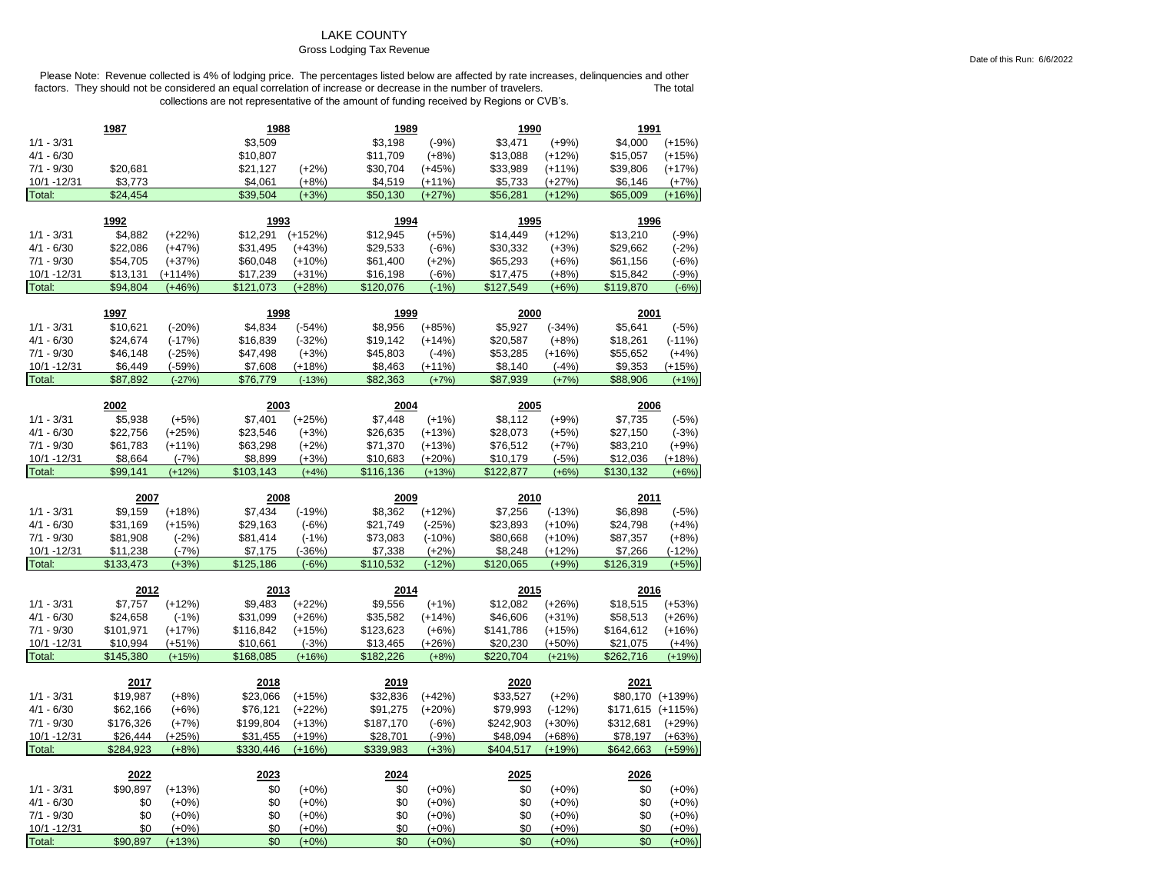### LAKE COUNTY

#### Gross Lodging Tax Revenue

Please Note: Revenue collected is 4% of lodging price. The percentages listed below are affected by rate increases, delinquencies and other<br>factors. They should not be considered an equal correlation of increase or decreas factors. They should not be considered an equal correlation of increase or decrease in the number of travelers. collections are not representative of the amount of funding received by Regions or CVB's.

|                             | 1987                 |                       | 1988                  |                      | 1989                  |                    | 1990                  |                    | 1991                  |                    |
|-----------------------------|----------------------|-----------------------|-----------------------|----------------------|-----------------------|--------------------|-----------------------|--------------------|-----------------------|--------------------|
| $1/1 - 3/31$                |                      |                       | \$3,509               |                      | \$3,198               | $(-9%)$            | \$3,471               | $(+9%)$            | \$4,000               | $(+15%)$           |
| $4/1 - 6/30$                |                      |                       | \$10,807              |                      | \$11,709              | $(+8%)$            | \$13,088              | $(+12%)$           | \$15,057              | $(+15%)$           |
| $7/1 - 9/30$                | \$20,681             |                       | \$21,127              | $(+2%)$              | \$30,704              | $(+45%)$           | \$33,989              | $(+11%)$           | \$39,806              | $(+17%)$           |
| 10/1 -12/31                 | \$3,773              |                       | \$4,061               | $(+8%)$              | \$4,519               | (+11%)             | \$5,733               | (+27%)             | \$6,146               | $(+7%)$            |
| Total:                      | \$24,454             |                       | \$39,504              | $(+3%)$              | \$50,130              | $(+27%)$           | \$56,281              | $(+12%)$           | \$65,009              | $(+16%)$           |
|                             |                      |                       |                       |                      |                       |                    |                       |                    |                       |                    |
|                             | 1992                 |                       | 1993                  |                      | 1994                  |                    | 1995                  |                    | 1996                  |                    |
| $1/1 - 3/31$                | \$4,882              | $(+22%)$              | \$12,291              | $(+152%)$            | \$12,945              | $(+5%)$            | \$14,449              | $(+12%)$           | \$13,210              | $(-9%)$            |
| $4/1 - 6/30$                | \$22,086             | $(+47%)$              | \$31,495              | $(+43%)$             | \$29,533              | $(-6%)$            | \$30,332              | $(+3%)$            | \$29,662              | $(-2%)$            |
| $7/1 - 9/30$<br>10/1 -12/31 | \$54,705             | $(+37%)$              | \$60,048              | $(+10%)$             | \$61,400              | $(+2%)$            | \$65,293              | $(+6%)$            | \$61,156              | $(-6%)$            |
| Total:                      | \$13,131<br>\$94,804 | $(+114%)$<br>$(+46%)$ | \$17,239<br>\$121,073 | $(+31%)$<br>$(+28%)$ | \$16,198<br>\$120,076 | $(-6%)$<br>$(-1%)$ | \$17,475<br>\$127,549 | $(+8%)$<br>$(+6%)$ | \$15,842<br>\$119,870 | $(-9%)$<br>$(-6%)$ |
|                             |                      |                       |                       |                      |                       |                    |                       |                    |                       |                    |
|                             | 1997                 |                       | 1998                  |                      | 1999                  |                    | 2000                  |                    | 2001                  |                    |
| $1/1 - 3/31$                | \$10,621             | $(-20%)$              | \$4,834               | $(-54%)$             | \$8,956               | $(+85%)$           | \$5,927               | $(-34%)$           | \$5,641               | $(-5%)$            |
| $4/1 - 6/30$                | \$24,674             | $(-17%)$              | \$16,839              | $(-32%)$             | \$19,142              | $(+14%)$           | \$20,587              | $(+8%)$            | \$18,261              | $(-11%)$           |
| $7/1 - 9/30$                | \$46,148             | $(-25%)$              | \$47,498              | $(+3%)$              | \$45,803              | $(-4%)$            | \$53,285              | $(+16%)$           | \$55,652              | $(+4%)$            |
| 10/1 -12/31                 | \$6,449              | $(-59%)$              | \$7,608               | $(+18%)$             | \$8,463               | $(+11%)$           | \$8,140               | $(-4%)$            | \$9,353               | $(+15%)$           |
| Total:                      | \$87,892             | $(-27%)$              | \$76,779              | $(-13%)$             | \$82,363              | $(+7%)$            | \$87,939              | $(+7%)$            | \$88,906              | $(+1%)$            |
|                             |                      |                       |                       |                      |                       |                    |                       |                    |                       |                    |
|                             | 2002                 |                       | 2003                  |                      | 2004                  |                    | 2005                  |                    | 2006                  |                    |
| $1/1 - 3/31$                | \$5,938              | $(+5%)$               | \$7,401               | $(+25%)$             | \$7,448               | $(+1%)$            | \$8,112               | $(+9%)$            | \$7,735               | $(-5%)$            |
| $4/1 - 6/30$                | \$22,756             | $(+25%)$              | \$23,546              | $(+3%)$              | \$26,635              | $(+13%)$           | \$28,073              | $(+5%)$            | \$27,150              | $(-3%)$            |
| $7/1 - 9/30$                | \$61,783             | $(+11%)$              | \$63,298              | $(+2%)$              | \$71,370              | $(+13%)$           | \$76,512              | $(+7%)$            | \$83,210              | $(+9%)$            |
| 10/1 - 12/31                | \$8,664<br>\$99.141  | $(-7%)$               | \$8,899               | $(+3%)$              | \$10,683              | $(+20%)$           | \$10,179              | $(-5%)$            | \$12,036              | $(+18%)$           |
| Total:                      |                      | $(+12%)$              | \$103,143             | $(+4%)$              | \$116,136             | $(+13%)$           | \$122,877             | $(+6%)$            | \$130,132             | $(+6%)$            |
|                             |                      |                       |                       |                      |                       |                    |                       |                    |                       |                    |
|                             | 2007                 |                       | 2008                  |                      | 2009                  |                    | 2010                  |                    | 2011                  |                    |
| $1/1 - 3/31$                | \$9,159              | $(+18%)$              | \$7,434               | $(-19%)$             | \$8,362               | $(+12%)$           | \$7,256               | $(-13%)$           | \$6,898               | $(-5%)$            |
| $4/1 - 6/30$                | \$31,169             | $(+15%)$              | \$29,163              | $(-6%)$              | \$21,749              | $(-25%)$           | \$23,893              | $(+10%)$           | \$24,798              | $(+4%)$            |
| $7/1 - 9/30$                | \$81,908             | $(-2%)$               | \$81,414              | $(-1%)$              | \$73,083              | $(-10%)$           | \$80,668              | $(+10%)$           | \$87,357              | $(+8%)$            |
| 10/1 -12/31                 | \$11,238             | $(-7%)$               | \$7,175               | $(-36%)$             | \$7,338               | $(+2%)$            | \$8,248               | $(+12%)$           | \$7,266               | $(-12%)$           |
| Total:                      | \$133,473            | $(+3%)$               | \$125,186             | $(-6%)$              | \$110,532             | $(-12%)$           | \$120,065             | $(+9%)$            | \$126,319             | $(+5%)$            |
|                             |                      |                       |                       |                      |                       |                    |                       |                    |                       |                    |
|                             | 2012                 |                       | 2013                  |                      | 2014                  |                    | 2015                  |                    | 2016                  |                    |
| $1/1 - 3/31$                | \$7,757              | $(+12%)$              | \$9,483               | $(+22%)$             | \$9,556               | $(+1%)$            | \$12,082              | $(+26%)$           | \$18,515              | $(+53%)$           |
| $4/1 - 6/30$                | \$24,658             | $(-1%)$               | \$31,099              | $(+26%)$             | \$35,582              | $(+14%)$           | \$46,606              | $(+31%)$           | \$58,513              | $(+26%)$           |
| $7/1 - 9/30$                | \$101,971            | $(+17%)$              | \$116,842             | $(+15%)$             | \$123,623             | $(+6%)$            | \$141,786             | $(+15%)$           | \$164,612             | $(+16%)$           |
| 10/1 - 12/31                | \$10,994             | $(+51%)$              | \$10,661              | $(-3%)$              | \$13,465              | $(+26%)$           | \$20,230              | $(+50%)$           | \$21,075              | $(+4%)$            |
| Total:                      | \$145,380            | $(+15%)$              | \$168,085             | $(+16%)$             | \$182,226             | $(+8%)$            | \$220,704             | $(+21%)$           | \$262,716             | $(+19%)$           |
|                             | 2017                 |                       | 2018                  |                      | 2019                  |                    | 2020                  |                    | 2021                  |                    |
| $1/1 - 3/31$                | \$19,987             | $(+8%)$               | \$23,066              | $(+15%)$             | \$32,836              | $(+42%)$           | \$33,527              | $(+2%)$            |                       | \$80,170 (+139%)   |
| $4/1 - 6/30$                | \$62,166             | $(+6%)$               | \$76,121              | $(+22%)$             | \$91,275              | $(+20%)$           | \$79,993              | $(-12%)$           | \$171,615 (+115%)     |                    |
| $7/1 - 9/30$                | \$176,326            | $(+7%)$               | \$199,804             | $(+13%)$             | \$187,170             | $(-6%)$            | \$242,903             | $(+30%)$           | \$312,681             | $(+29%)$           |
| 10/1 - 12/31                | \$26,444             | $(+25%)$              | \$31,455              | $(+19%)$             | \$28,701              | $(-9%)$            | \$48,094              | $(+68%)$           |                       | $(+63%)$           |
| Total:                      | \$284,923            | $(+8%)$               | \$330,446             | $(+16%)$             | \$339,983             | $(+3%)$            | \$404,517             | $(+19%)$           | \$78,197<br>\$642,663 | $(+59%)$           |
|                             |                      |                       |                       |                      |                       |                    |                       |                    |                       |                    |
|                             | 2022                 |                       | 2023                  |                      | 2024                  |                    | 2025                  |                    | 2026                  |                    |
| $1/1 - 3/31$                | \$90,897             | $(+13%)$              | \$0                   | $(+0\%)$             | \$0                   | $(+0%)$            | \$0                   | $(+0%)$            | \$0                   | $(+0%)$            |
| $4/1 - 6/30$                | \$0                  | $(+0\%)$              | \$0                   | $(+0\%)$             | \$0                   | $(+0%)$            | \$0                   | $(+0%)$            | \$0                   | $(+0%)$            |
| $7/1 - 9/30$<br>10/1 -12/31 | \$0<br>\$0           | $(+0%)$<br>$(+0%)$    | \$0<br>\$0            | $(+0%)$<br>$(+0%)$   | \$0<br>\$0            | $(+0%)$<br>$(+0%)$ | \$0<br>\$0            | $(+0%)$<br>$(+0%)$ | \$0<br>\$0            | $(+0%)$<br>$(+0%)$ |

Date of this Run: 6/6/2022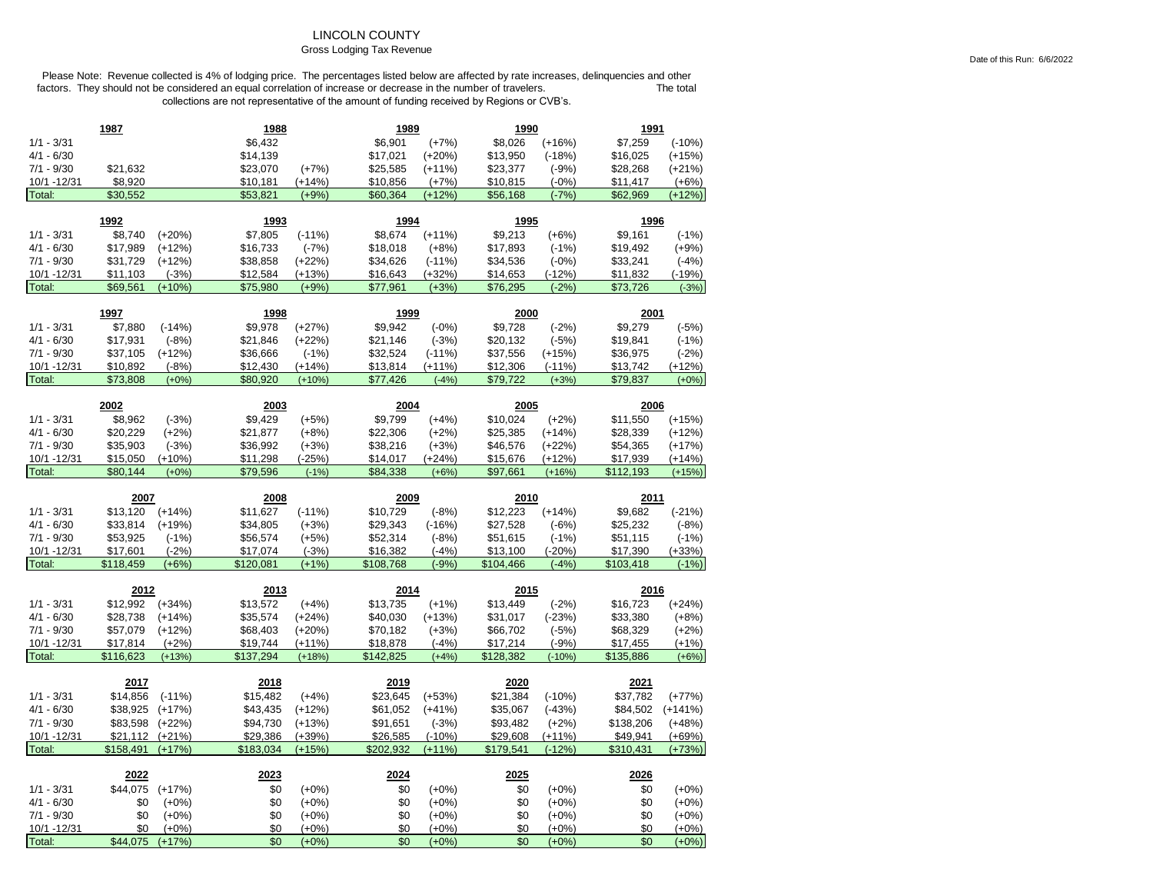# LINCOLN COUNTY

### Gross Lodging Tax Revenue

|                              | 1987            |                    | 1988       |                    | 1989         |                    | 1990                 |                     | 1991       |                     |
|------------------------------|-----------------|--------------------|------------|--------------------|--------------|--------------------|----------------------|---------------------|------------|---------------------|
| $1/1 - 3/31$                 |                 |                    | \$6,432    |                    | \$6,901      | $(+7%)$            | \$8,026              | $(+16%)$            | \$7,259    | $(-10%)$            |
| $4/1 - 6/30$                 |                 |                    | \$14,139   |                    | \$17,021     | $(+20%)$           | \$13,950             | $(-18%)$            | \$16,025   | $(+15%)$            |
| $7/1 - 9/30$                 | \$21,632        |                    | \$23,070   | $(+7%)$            | \$25,585     | $(+11%)$           | \$23,377             | $(-9%)$             | \$28,268   | $(+21%)$            |
| 10/1 -12/31                  | \$8,920         |                    | \$10,181   | $(+14%)$           | \$10,856     | $(+7%)$            | \$10,815             | $(-0%)$             | \$11,417   | $(+6%)$             |
| Total:                       | \$30,552        |                    | \$53,821   | $(+9%)$            | \$60,364     | $(+12%)$           | \$56,168             | $(-7%)$             | \$62,969   | $(+12%)$            |
|                              |                 |                    |            |                    |              |                    |                      |                     |            |                     |
|                              | 1992            |                    | 1993       |                    | 1994         |                    | 1995                 |                     | 1996       |                     |
| $1/1 - 3/31$                 | \$8,740         | $(+20%)$           | \$7,805    | $(-11%)$           | \$8,674      | $(+11%)$           | \$9,213              | $(+6%)$             | \$9,161    | $(-1%)$             |
| $4/1 - 6/30$                 | \$17,989        | $(+12%)$           | \$16,733   | $(-7%)$            | \$18,018     | $(+8%)$            | \$17,893             | $(-1%)$             | \$19,492   | $(+9%)$             |
| $7/1 - 9/30$                 | \$31,729        | $(+12%)$           | \$38,858   | $(+22%)$           | \$34,626     | $(-11%)$           | \$34,536             | $(-0%)$             | \$33,241   | $(-4%)$             |
| 10/1 -12/31                  | \$11,103        | $(-3%)$            | \$12,584   | $(+13%)$           | \$16,643     | $(+32%)$           | \$14,653             | $(-12%)$            | \$11,832   | $(-19%)$            |
| Total:                       | \$69,561        | $(+10%)$           | \$75,980   | $(+9%)$            | \$77,961     | $(+3%)$            | \$76,295             | $(-2%)$             | \$73,726   | $(-3%)$             |
|                              | 1997            |                    | 1998       |                    | 1999         |                    | 2000                 |                     | 2001       |                     |
| $1/1 - 3/31$                 | \$7,880         | $(-14%)$           | \$9,978    | $(+27%)$           | \$9,942      | $(-0%)$            | \$9,728              | $(-2%)$             | \$9,279    | $(-5%)$             |
| $4/1 - 6/30$                 | \$17,931        | $(-8%)$            | \$21,846   | $(+22%)$           | \$21,146     | $(-3%)$            | \$20,132             | $(-5%)$             | \$19,841   | $(-1%)$             |
| $7/1 - 9/30$                 | \$37,105        | $(+12%)$           | \$36,666   | $(-1%)$            | \$32,524     | $(-11%)$           | \$37,556             | $(+15%)$            | \$36,975   | $(-2%)$             |
| 10/1 -12/31                  | \$10,892        | $(-8%)$            | \$12,430   | (+14%)             | \$13,814     | (+11%)             | \$12,306             | $(-11%)$            | \$13,742   | $(+12%)$            |
| Total:                       | \$73,808        | $(+0%)$            | \$80,920   | $(+10%)$           | \$77,426     | $(-4%)$            | \$79,722             | $(+3%)$             | \$79,837   | $(+0%)$             |
|                              |                 |                    |            |                    |              |                    |                      |                     |            |                     |
|                              | 2002            |                    | 2003       |                    | 2004         |                    | 2005                 |                     | 2006       |                     |
| $1/1 - 3/31$                 | \$8,962         | $(-3%)$            | \$9,429    | $(+5%)$            | \$9,799      | $(+4%)$            | \$10,024             | $(+2%)$             | \$11,550   | $(+15%)$            |
| $4/1 - 6/30$                 | \$20,229        | $(+2%)$            | \$21,877   | $(+8%)$            | \$22,306     | $(+2%)$            | \$25,385             | $(+14%)$            | \$28,339   | $(+12%)$            |
| $7/1 - 9/30$                 | \$35,903        | $(-3%)$            | \$36,992   | $(+3%)$            | \$38,216     | $(+3%)$            | \$46,576             | $(+22%)$            | \$54,365   | $(+17%)$            |
| 10/1 - 12/31                 | \$15,050        | $(+10%)$           | \$11,298   | $(-25%)$           | \$14,017     | $(+24%)$           | \$15,676             | (+12%)              | \$17,939   | $(+14%)$            |
| Total:                       | \$80,144        | $(+0%)$            | \$79,596   | $(-1%)$            | \$84,338     | $(+6%)$            | \$97,661             | $(+16%)$            | \$112,193  | $(+15%)$            |
|                              |                 |                    |            |                    |              |                    |                      |                     |            |                     |
|                              |                 |                    |            |                    |              |                    |                      |                     |            |                     |
|                              | 2007            |                    | 2008       |                    | 2009         |                    | 2010                 |                     | 2011       |                     |
| $1/1 - 3/31$                 | \$13,120        | $(+14%)$           | \$11,627   | $(-11%)$           | \$10,729     | $(-8%)$            | \$12,223             | $(+14%)$            | \$9,682    | $(-21%)$            |
| $4/1 - 6/30$                 | \$33,814        | $(+19%)$           | \$34,805   | $(+3%)$            | \$29,343     | $(-16%)$           | \$27,528             | $(-6%)$             | \$25,232   | $(-8%)$             |
| $7/1 - 9/30$                 | \$53,925        | $(-1%)$            | \$56,574   | $(+5%)$            | \$52,314     | $(-8%)$            | \$51,615             | $(-1%)$             | \$51,115   | $(-1%)$             |
| 10/1 -12/31                  | \$17,601        | $(-2%)$            | \$17,074   | $(-3%)$            | \$16,382     | $(-4%)$            | \$13,100             | $(-20%)$            | \$17,390   | $(+33%)$            |
| Total:                       | \$118,459       | $(+6%)$            | \$120,081  | $(+1%)$            | \$108,768    | $(-9%)$            | \$104,466            | $(-4%)$             | \$103,418  | $(-1%)$             |
|                              | 2012            |                    | 2013       |                    | 2014         |                    | 2015                 |                     | 2016       |                     |
| $1/1 - 3/31$                 | \$12,992        | $(+34%)$           | \$13,572   | $(+4%)$            | \$13,735     | $(+1%)$            | \$13,449             | $(-2%)$             | \$16,723   | $(+24%)$            |
| $4/1 - 6/30$                 | \$28,738        | $(+14%)$           | \$35,574   | $(+24%)$           | \$40,030     | $(+13%)$           | \$31,017             | $(-23%)$            | \$33,380   | $(+8%)$             |
| $7/1 - 9/30$                 | \$57,079        | $(+12%)$           | \$68,403   | $(+20%)$           | \$70,182     | $(+3%)$            |                      | $(-5%)$             | \$68,329   | $(+2%)$             |
| 10/1 - 12/31                 | \$17,814        | $(+2%)$            | \$19,744   | $(+11%)$           | \$18,878     | $(-4%)$            | \$66,702<br>\$17,214 | $(-9%)$             | \$17,455   | $(+1%)$             |
| Total:                       | \$116,623       | $(+13%)$           | \$137,294  | $(+18%)$           | \$142,825    | $(+4%)$            | \$128,382            | $(-10%)$            | \$135,886  | $(+6%)$             |
|                              |                 |                    |            |                    |              |                    |                      |                     |            |                     |
|                              | 2017            |                    | 2018       |                    | <u> 2019</u> |                    | 2020                 |                     | 2021       |                     |
| $1/1 - 3/31$                 | \$14,856        | $(-11%)$           | \$15,482   | $(+4%)$            | \$23,645     | $(+53%)$           | \$21,384             | $(-10%)$            | \$37,782   | $(+77%)$            |
| $4/1 - 6/30$                 | \$38,925        | $(+17%)$           | \$43,435   | $(+12%)$           | \$61,052     | $(+41%)$           | \$35,067             | $(-43%)$            | \$84,502   | $(+141%)$           |
| $7/1 - 9/30$                 | \$83,598        | $(+22%)$           | \$94,730   | $(+13%)$           | \$91,651     | $(-3%)$            | \$93,482             | $(+2%)$             | \$138,206  | $(+48%)$            |
| 10/1 - 12/31                 | \$21,112        | $(+21%)$           | \$29,386   | $(+39%)$           | \$26,585     | $(-10%)$           | \$29,608             | $(+11%)$            | \$49,941   | $(+69%)$            |
| Total:                       | \$158.491       | $(+17%)$           | \$183.034  | $(+15%)$           | \$202.932    | $(+11%)$           | \$179,541            | $(-12%)$            | \$310,431  | $(+73%)$            |
|                              | 2022            |                    | 2023       |                    | 2024         |                    | 2025                 |                     | 2026       |                     |
|                              |                 |                    |            |                    |              |                    |                      |                     |            |                     |
| $1/1 - 3/31$<br>$4/1 - 6/30$ | \$44,075<br>\$0 | $(+17%)$           | \$0<br>\$0 | $(+0%)$            | \$0<br>\$0   | $(+0%)$            | \$0                  | $(+0\%)$            | \$0        | $(+0%)$             |
| $7/1 - 9/30$                 | \$0             | $(+0\%)$           | \$0        | $(+0\%)$           | \$0          | $(+0%)$            | \$0<br>\$0           | $(+0\%)$            | \$0<br>\$0 | $(+0\%)$            |
| 10/1 - 12/31                 | \$0             | $(+0%)$<br>$(+0%)$ | \$0        | $(+0%)$<br>$(+0%)$ | \$0          | $(+0%)$<br>$(+0%)$ | \$0                  | $(+0\%)$<br>$(+0%)$ | \$0        | $(+0\%)$<br>$(+0%)$ |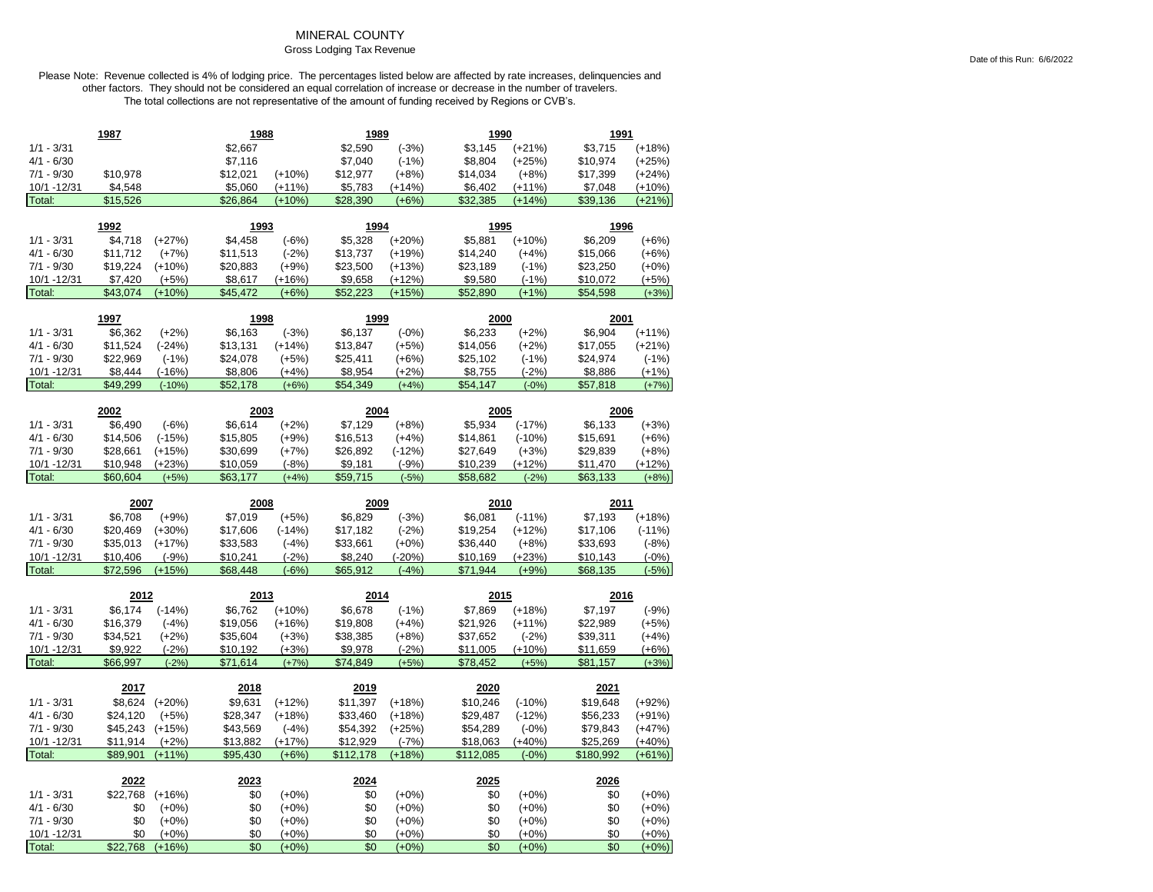# MINERAL COUNTY

Gross Lodging Tax Revenue

|                       | 1987            |                     | 1988       |                    | 1989       |                    | 1990       |                  | 1991       |                    |
|-----------------------|-----------------|---------------------|------------|--------------------|------------|--------------------|------------|------------------|------------|--------------------|
| $1/1 - 3/31$          |                 |                     | \$2,667    |                    | \$2,590    | $(-3%)$            | \$3,145    | $(+21%)$         | \$3,715    | $(+18%)$           |
| $4/1 - 6/30$          |                 |                     | \$7,116    |                    | \$7,040    | $(-1%)$            | \$8,804    | $(+25%)$         | \$10,974   | $(+25%)$           |
| $7/1 - 9/30$          | \$10,978        |                     | \$12,021   | $(+10%)$           | \$12,977   | $(+8%)$            | \$14,034   | $(+8%)$          | \$17,399   | $(+24%)$           |
| 10/1 - 12/31          | \$4,548         |                     | \$5,060    | $(+11%)$           | \$5,783    | $(+14%)$           | \$6,402    | $(+11%)$         | \$7,048    | $(+10%)$           |
| Total:                | \$15,526        |                     | \$26,864   | $(+10%)$           | \$28,390   | $(+6%)$            | \$32,385   | $(+14%)$         | \$39,136   | $(+21%)$           |
|                       |                 |                     |            |                    |            |                    |            |                  |            |                    |
|                       | 1992            |                     | 1993       |                    | 1994       |                    | 1995       |                  | 1996       |                    |
| $1/1 - 3/31$          | \$4,718         | $(+27%)$            | \$4,458    | $(-6%)$            | \$5,328    | $(+20%)$           | \$5,881    | $(+10%)$         | \$6,209    | $(+6%)$            |
| $4/1 - 6/30$          | \$11,712        | $(+7%)$             | \$11,513   | $(-2%)$            | \$13,737   | $(+19%)$           | \$14,240   | $(+4%)$          | \$15,066   | $(+6%)$            |
| $7/1 - 9/30$          | \$19,224        | $(+10%)$            | \$20,883   | $(+9%)$            | \$23,500   | $(+13%)$           | \$23,189   | $(-1%)$          | \$23,250   | $(+0%)$            |
| 10/1 - 12/31          | \$7,420         | $(+5%)$             | \$8,617    | $(+16%)$           | \$9,658    | $(+12%)$           | \$9,580    | $(-1%)$          | \$10,072   | $(+5%)$            |
| Total:                | \$43,074        | $(+10%)$            | \$45,472   | $(+6%)$            | \$52,223   | $(+15%)$           | \$52,890   | $(+1%)$          | \$54,598   | $(+3%)$            |
|                       | 1997            |                     | 1998       |                    | 1999       |                    | 2000       |                  | 2001       |                    |
| $1/1 - 3/31$          | \$6,362         | $(+2%)$             | \$6,163    | $(-3%)$            | \$6,137    | $(-0%)$            | \$6,233    | $(+2%)$          | \$6,904    | $(+11%)$           |
| $4/1 - 6/30$          | \$11,524        | $(-24%)$            | \$13,131   | $(+14%)$           | \$13,847   | $(+5%)$            | \$14,056   | $(+2%)$          | \$17,055   | $(+21%)$           |
| $7/1 - 9/30$          | \$22,969        | $(-1%)$             | \$24,078   | $(+5%)$            | \$25,411   | $(+6%)$            | \$25,102   | $(-1%)$          | \$24,974   | $(-1%)$            |
| 10/1 - 12/31          | \$8,444         | $(-16%)$            | \$8,806    | $(+4%)$            | \$8,954    | $(+2%)$            | \$8,755    | $(-2%)$          | \$8,886    | $(+1%)$            |
| Total:                | \$49,299        | $(-10%)$            | \$52,178   | $(+6%)$            | \$54,349   | $(+4%)$            | \$54,147   | $(-0%)$          | \$57,818   | $(+7%)$            |
|                       |                 |                     |            |                    |            |                    |            |                  |            |                    |
|                       | 2002            |                     | 2003       |                    | 2004       |                    | 2005       |                  | 2006       |                    |
| $1/1 - 3/31$          | \$6,490         | $(-6%)$             | \$6,614    | $(+2%)$            | \$7,129    | $(+8%)$            | \$5,934    | $(-17%)$         | \$6,133    | $(+3%)$            |
| $4/1 - 6/30$          | \$14,506        | $(-15%)$            | \$15,805   | $(+9%)$            | \$16,513   | $(+4%)$            | \$14,861   | $(-10%)$         | \$15,691   | $(+6%)$            |
| $7/1 - 9/30$          | \$28,661        | $(+15%)$            | \$30,699   | $(+7%)$            | \$26,892   | $(-12%)$           | \$27,649   | $(+3%)$          | \$29,839   | $(+8%)$            |
| 10/1 - 12/31          | \$10,948        | $(+23%)$            | \$10,059   | $(-8%)$            | \$9,181    | $(-9%)$            | \$10,239   | $(+12%)$         | \$11,470   | $(+12%)$           |
| Total:                | \$60,604        | $(+5%)$             | \$63,177   | $(+4%)$            | \$59,715   | $(-5%)$            | \$58,682   | $(-2%)$          | \$63,133   | $(+8%)$            |
|                       |                 |                     |            |                    |            |                    |            |                  |            |                    |
|                       |                 |                     |            |                    |            |                    |            |                  |            |                    |
|                       | 2007            |                     | 2008       |                    | 2009       |                    | 2010       |                  | 2011       |                    |
| $1/1 - 3/31$          | \$6,708         | $(+9%)$             | \$7,019    | $(+5%)$            | \$6,829    | $(-3%)$            | \$6,081    | $(-11%)$         | \$7,193    | $(+18%)$           |
| $4/1 - 6/30$          | \$20,469        | $(+30%)$            | \$17,606   | $(-14%)$           | \$17,182   | $(-2%)$            | \$19,254   | $(+12%)$         | \$17,106   | $(-11%)$           |
| $7/1 - 9/30$          | \$35,013        | $(+17%)$            | \$33,583   | $(-4%)$            | \$33,661   | $(+0%)$            | \$36,440   | $(+8%)$          | \$33,693   | $(-8%)$            |
| 10/1 - 12/31          | \$10,406        | $(-9%)$             | \$10,241   | $(-2%)$            | \$8,240    | $(-20%)$           | \$10,169   | (+23%)           | \$10,143   | $(-0%)$            |
| Total:                | \$72,596        | $(+15%)$            | \$68,448   | $(-6%)$            | \$65,912   | $(-4%)$            | \$71,944   | $(+9%)$          | \$68,135   | $(-5%)$            |
|                       | 2012            |                     | 2013       |                    | 2014       |                    | 2015       |                  | 2016       |                    |
| $1/1 - 3/31$          | \$6,174         | $(-14%)$            | \$6,762    | $(+10%)$           | \$6,678    | $(-1%)$            | \$7,869    | $(+18%)$         | \$7,197    | $(-9%)$            |
| $4/1 - 6/30$          | \$16,379        | $(-4%)$             | \$19,056   | $(+16%)$           | \$19,808   | $(+4%)$            | \$21,926   | $(+11%)$         | \$22,989   | $(+5%)$            |
| $7/1 - 9/30$          | \$34,521        | $(+2%)$             | \$35,604   | $(+3%)$            | \$38,385   | $(+8%)$            | \$37,652   | $(-2%)$          | \$39,311   | $(+4%)$            |
| 10/1 - 12/31          | \$9,922         | $(-2%)$             | \$10,192   | $(+3%)$            | \$9,978    | $(-2%)$            | \$11,005   | $(+10%)$         | \$11,659   | $(+6%)$            |
| Total:                | \$66,997        | $(-2%)$             | \$71,614   | $(+7%)$            | \$74,849   | $(+5%)$            | \$78,452   | $(+5%)$          | \$81,157   | $(+3%)$            |
|                       | 2017            |                     | 2018       |                    | 2019       |                    | 2020       |                  | 2021       |                    |
|                       |                 |                     |            |                    |            |                    |            |                  |            |                    |
| $1/1 - 3/31$          | \$8,624         | $(+20%)$            | \$9,631    | $(+12%)$           | \$11,397   | $(+18%)$           | \$10,246   | $(-10%)$         | \$19,648   | $(+92%)$           |
| $4/1 - 6/30$          | \$24,120        | $(+5%)$             | \$28,347   | $(+18%)$           | \$33,460   | $(+18%)$           | \$29,487   | $(-12%)$         | \$56,233   | $(+91%)$           |
| $7/1 - 9/30$          | \$45,243        | $(+15%)$            | \$43,569   | $(-4%)$            | \$54,392   | $(+25%)$           | \$54,289   | $(-0%)$          | \$79,843   | $(+47%)$           |
| 10/1 - 12/31          | \$11,914        | $(+2%)$             | \$13,882   | $(+17%)$           | \$12,929   | $(-7%)$            | \$18,063   | $(+40%)$         | \$25,269   | $(+40%)$           |
| Total:                | \$89,901        | $(+11%)$            | \$95,430   | $(+6%)$            | \$112,178  | $(+18%)$           | \$112,085  | $(-0%)$          | \$180,992  | $(+61%)$           |
|                       | 2022            |                     | 2023       |                    | 2024       |                    | 2025       |                  | 2026       |                    |
| $1/1 - 3/31$          | \$22,768        | $(+16%)$            | \$0        | $(+0%)$            | \$0        | $(+0%)$            | \$0        | $(+0%)$          | \$0        | $(+0%)$            |
| $4/1 - 6/30$          | \$0             | $(+0%)$             | \$0        | $(+0%)$            | \$0        | $(+0%)$            | \$0        | $(+0%)$          | \$0        | $(+0%)$            |
| $7/1 - 9/30$          | \$0             | $(+0%)$             | \$0        | $(+0%)$            | \$0        | $(+0%)$            | \$0        | $(+0%)$          | \$0        | $(+0%)$            |
| 10/1 -12/31<br>Total: | \$0<br>\$22,768 | $(+0%)$<br>$(+16%)$ | \$0<br>\$0 | $(+0%)$<br>$(+0%)$ | \$0<br>\$0 | $(+0%)$<br>$(+0%)$ | \$0<br>\$0 | (+0%)<br>$(+0%)$ | \$0<br>\$0 | $(+0%)$<br>$(+0%)$ |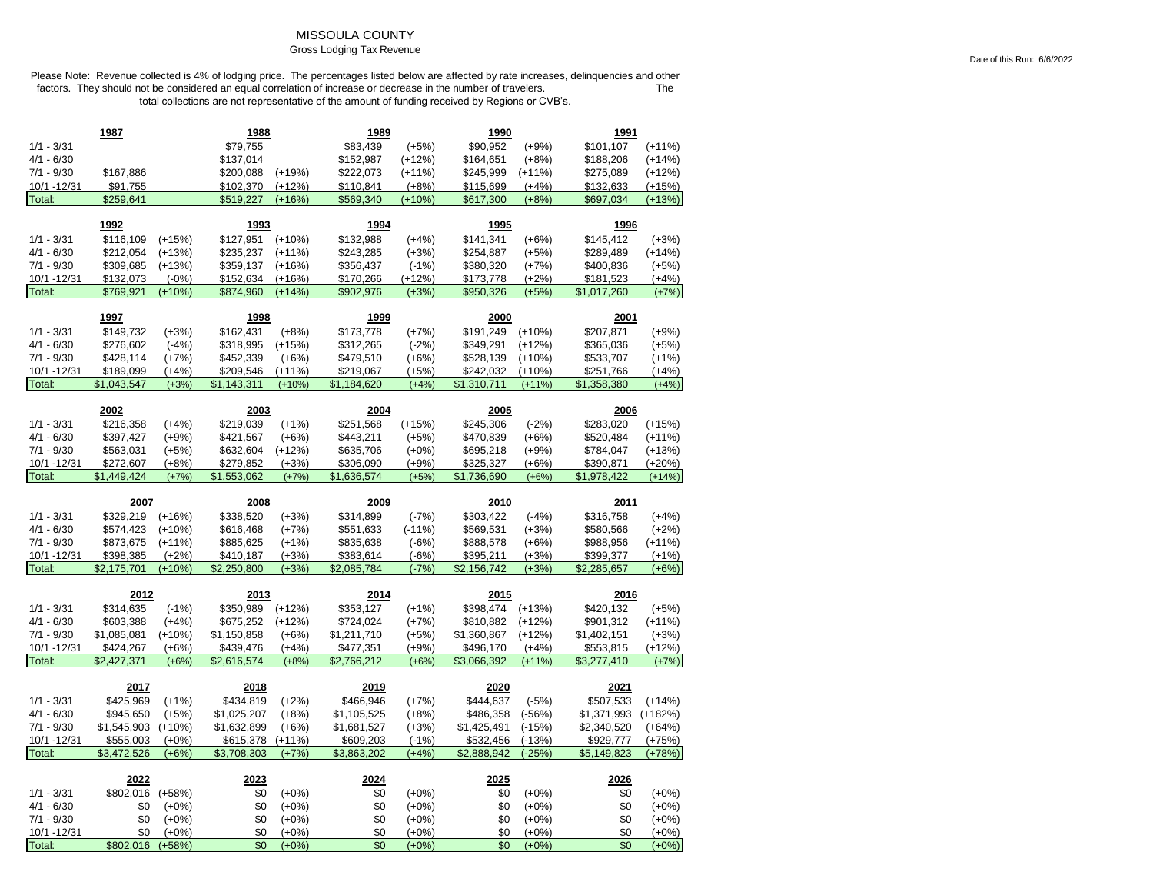# MISSOULA COUNTY

### Gross Lodging Tax Revenue

|                              | 1987                     |                     | 1988                       |                    | 1989                       |                    | 1990                     |                      | 1991                       |                       |
|------------------------------|--------------------------|---------------------|----------------------------|--------------------|----------------------------|--------------------|--------------------------|----------------------|----------------------------|-----------------------|
| $1/1 - 3/31$                 |                          |                     | \$79,755                   |                    | \$83,439                   | $(+5%)$            | \$90,952                 | $(+9%)$              | \$101,107                  | $(+11%)$              |
| $4/1 - 6/30$                 |                          |                     | \$137,014                  |                    | \$152,987                  | $(+12%)$           | \$164,651                | $(+8%)$              | \$188,206                  | $(+14%)$              |
| $7/1 - 9/30$                 | \$167,886                |                     | \$200,088                  | $(+19%)$           | \$222,073                  | $(+11%)$           | \$245,999                | $(+11%)$             | \$275,089                  | $(+12%)$              |
| 10/1 - 12/31                 | \$91,755                 |                     | \$102,370                  | $(+12%)$           | \$110,841                  | $(+8%)$            | \$115,699                | $(+4%)$              | \$132,633                  | $(+15%)$              |
| Total:                       | \$259,641                |                     | \$519,227                  | $(+16%)$           | \$569,340                  | $(+10%)$           | \$617,300                | $(+8%)$              | \$697,034                  | $(+13%)$              |
|                              |                          |                     |                            |                    |                            |                    |                          |                      |                            |                       |
|                              | 1992                     |                     | 1993                       |                    | 1994                       |                    | 1995                     |                      | 1996                       |                       |
| $1/1 - 3/31$                 | \$116,109                | $(+15%)$            | \$127,951                  | $(+10%)$           | \$132,988                  | $(+4%)$            | \$141,341                | $(+6%)$              | \$145,412                  | $(+3%)$               |
| $4/1 - 6/30$                 | \$212,054                | $(+13%)$            | \$235,237                  | $(+11%)$           | \$243,285                  | $(+3%)$            | \$254,887                | $(+5%)$              | \$289,489                  | $(+14%)$              |
| $7/1 - 9/30$                 | \$309,685                | $(+13%)$            | \$359,137                  | $(+16%)$           | \$356,437                  | $(-1%)$            | \$380,320                | $(+7%)$              | \$400,836                  | $(+5%)$               |
| 10/1 - 12/31                 | \$132,073                | $(-0%)$             | \$152,634                  | $(+16%)$           | \$170,266                  | $(+12%)$           | \$173,778                | $(+2%)$              | \$181,523                  | $(+4%)$               |
| Total:                       | \$769,921                | $(+10%)$            | \$874,960                  | $(+14%)$           | \$902,976                  | $(+3%)$            | \$950,326                | $(+5%)$              | \$1,017,260                | $(+7%)$               |
|                              | 1997                     |                     | 1998                       |                    | 1999                       |                    | 2000                     |                      | 2001                       |                       |
| $1/1 - 3/31$                 | \$149,732                | $(+3%)$             | \$162,431                  | $(+8%)$            | \$173,778                  | $(+7%)$            | \$191,249                | $(+10%)$             | \$207,871                  | $(+9%)$               |
| $4/1 - 6/30$                 | \$276,602                | $(-4%)$             | \$318,995                  | $(+15%)$           | \$312,265                  | $(-2%)$            | \$349,291                | $(+12%)$             | \$365,036                  | $(+5%)$               |
| $7/1 - 9/30$                 | \$428,114                | $(+7%)$             | \$452,339                  | $(+6%)$            | \$479,510                  | $(+6%)$            | \$528,139                | $(+10%)$             | \$533,707                  | $(+1%)$               |
| 10/1 - 12/31                 | \$189,099                | $(+4%)$             | \$209,546                  | $(+11%)$           | \$219,067                  | $(+5%)$            | \$242,032                | $(+10%)$             | \$251,766                  | $(+4%)$               |
| Total:                       | \$1,043,547              | $(+3%)$             | \$1,143,311                | $(+10%)$           | \$1,184,620                | $(+4%)$            | \$1,310,711              | $(+11%)$             | \$1,358,380                | $(+4%)$               |
|                              |                          |                     |                            |                    |                            |                    |                          |                      |                            |                       |
|                              | 2002                     |                     | 2003                       |                    | 2004                       |                    | 2005                     |                      | 2006                       |                       |
| $1/1 - 3/31$                 | \$216,358                | $(+4%)$             | \$219,039                  | $(+1%)$            | \$251,568                  | $(+15%)$           | \$245,306                | $(-2%)$              | \$283,020                  | $(+15%)$              |
| $4/1 - 6/30$                 | \$397,427                | $(+9%)$             | \$421,567                  | $(+6%)$            | \$443,211                  | $(+5%)$            | \$470,839                | $(+6%)$              | \$520,484                  | $(+11%)$              |
| $7/1 - 9/30$                 | \$563,031                | (+5%)               | \$632,604                  | $(+12%)$           | \$635,706                  | $(+0%)$            | \$695,218                | $(+9%)$              | \$784,047                  | $(+13%)$              |
| 10/1 - 12/31                 | \$272,607                | $(+8%)$             | \$279,852                  | $(+3%)$            | \$306,090                  | $(+9%)$            | \$325,327                | $(+6%)$              | \$390,871                  | $(+20%)$              |
| Total:                       | \$1,449,424              | $(+7%)$             | \$1,553,062                | $(+7%)$            | \$1,636,574                | $(+5%)$            | \$1,736,690              | $(+6%)$              | \$1,978,422                | $(+14%)$              |
|                              |                          |                     |                            |                    |                            |                    |                          |                      |                            |                       |
|                              | 2007                     |                     | 2008                       |                    | 2009                       |                    | 2010                     |                      | 2011                       |                       |
|                              |                          |                     |                            |                    |                            |                    |                          |                      |                            |                       |
| $1/1 - 3/31$                 | \$329,219                | $(+16%)$            | \$338,520                  | $(+3%)$            | \$314,899                  | $(-7%)$            | \$303,422                | $(-4%)$              | \$316,758                  | $(+4%)$               |
| $4/1 - 6/30$                 | \$574,423                | $(+10%)$            | \$616,468                  | $(+7%)$            | \$551,633                  | $(-11%)$           | \$569,531                | $(+3%)$              | \$580,566                  | $(+2%)$               |
| $7/1 - 9/30$                 | \$873,675                | $(+11%)$            | \$885,625                  | $(+1%)$            | \$835,638                  | $(-6%)$            | \$888,578                | $(+6%)$              | \$988,956                  | $(+11%)$              |
| 10/1 - 12/31<br>Total:       | \$398,385<br>\$2,175,701 | $(+2%)$<br>$(+10%)$ | \$410,187<br>\$2,250,800   | $(+3%)$<br>$(+3%)$ | \$383,614<br>\$2,085,784   | $(-6%)$            | \$395,211                | $(+3%)$<br>$(+3%)$   | \$399,377<br>\$2,285,657   | $(+1%)$<br>$(+6%)$    |
|                              |                          |                     |                            |                    |                            | $(-7%)$            | \$2,156,742              |                      |                            |                       |
|                              | 2012                     |                     | 2013                       |                    | 2014                       |                    | 2015                     |                      | 2016                       |                       |
| $1/1 - 3/31$                 | \$314,635                | $(-1%)$             | \$350,989                  | $(+12%)$           | \$353,127                  | $(+1%)$            | \$398,474                | $(+13%)$             | \$420,132                  | $(+5%)$               |
| $4/1 - 6/30$                 | \$603,388                | $(+4%)$             | \$675,252                  | $(+12%)$           | \$724,024                  | $(+7%)$            | \$810,882                | $(+12%)$             | \$901,312                  | $(+11%)$              |
| $7/1 - 9/30$                 | \$1,085,081              | $(+10%)$            | \$1,150,858                | $(+6%)$            | \$1,211,710                | $(+5%)$            | \$1,360,867              | $(+12%)$             | \$1,402,151                | $(+3%)$               |
| 10/1 - 12/31                 | \$424,267                | $(+6%)$             | \$439,476                  | $(+4%)$            | \$477,351                  | $(+9%)$            | \$496,170                | $(+4%)$              | \$553,815                  | $(+12%)$              |
| Total:                       | \$2,427,371              | $(+6%)$             | \$2,616,574                | $(+8%)$            | \$2,766,212                | $(+6%)$            | \$3,066,392              | $(+11%)$             | \$3,277,410                | $(+7%)$               |
|                              | 2017                     |                     | 2018                       |                    | 2019                       |                    | 2020                     |                      | 2021                       |                       |
| $1/1 - 3/31$                 |                          |                     |                            |                    | \$466,946                  |                    | \$444,637                |                      | \$507,533                  | $(+14%)$              |
|                              | \$425,969                | $(+1%)$             | \$434,819                  | $(+2%)$            |                            | $(+7%)$            |                          | $(-5%)$              |                            |                       |
| $4/1 - 6/30$<br>$7/1 - 9/30$ | \$945,650<br>\$1,545,903 | $(+5%)$<br>$(+10%)$ | \$1,025,207<br>\$1,632,899 | $(+8%)$<br>$(+6%)$ | \$1,105,525<br>\$1,681,527 | $(+8%)$            | \$486,358<br>\$1,425,491 | $(-56%)$<br>$(-15%)$ | \$1,371,993<br>\$2,340,520 | $(+182%)$<br>$(+64%)$ |
| 10/1 - 12/31                 | \$555,003                | $(+0%)$             | \$615,378                  | $(+11%)$           | \$609,203                  | $(+3%)$<br>$(-1%)$ | \$532,456                | $(-13%)$             | \$929,777                  | $(+75%)$              |
| Total:                       | \$3,472,526              | $(+6%)$             | \$3,708,303                | $(+7%)$            | \$3,863,202                | $(+4%)$            | \$2,888,942              | $(-25%)$             | \$5,149,823                | $(+78%)$              |
|                              |                          |                     |                            |                    |                            |                    |                          |                      |                            |                       |
|                              | 2022                     |                     | 2023                       |                    | 2024                       |                    | 2025                     |                      | 2026                       |                       |
| $1/1 - 3/31$                 | \$802,016                | $(+58%)$            | \$0                        | $(+0%)$            | \$0                        | $(+0%)$            | \$0                      | $(+0\%)$             | \$0                        | $(+0%)$               |
| $4/1 - 6/30$                 | \$0                      | $(+0%)$             | \$0                        | $(+0\%)$           | \$0                        | $(+0\%)$           | \$0                      | $(+0\%)$             | \$0                        | $(+0\%)$              |
| $7/1 - 9/30$                 | \$0                      | $(+0%)$             | \$0                        | $(+0%)$            | \$0                        | $(+0%)$            | \$0                      | $(+0%)$              | \$0                        | $(+0\%)$              |
| 10/1 - 12/31<br>Total:       | \$0<br>\$802,016         | $(+0%)$<br>$(+58%)$ | \$0<br>\$0                 | $(+0%)$<br>$(+0%)$ | \$0<br>\$0                 | $(+0%)$<br>$(+0%)$ | \$0<br>\$0               | $(+0%)$<br>$(+0%)$   | \$0<br>\$0                 | $(+0%)$<br>$(+0%)$    |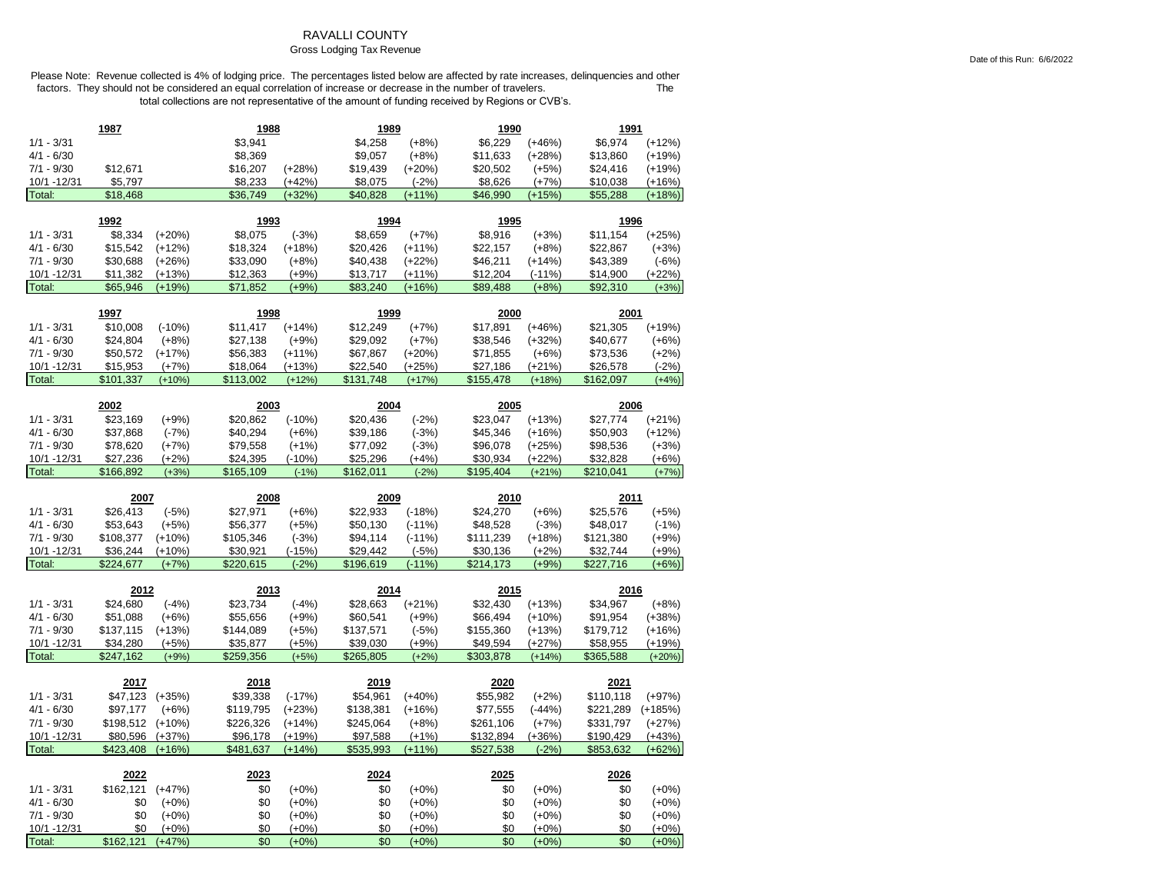### RAVALLI COUNTY

### Gross Lodging Tax Revenue

|                              | 1987                  |                     | 1988                  |                    | 1989                  |                      | 1990                  |                      | 1991                  |                      |
|------------------------------|-----------------------|---------------------|-----------------------|--------------------|-----------------------|----------------------|-----------------------|----------------------|-----------------------|----------------------|
| $1/1 - 3/31$                 |                       |                     | \$3,941               |                    | \$4,258               | $(+8%)$              | \$6,229               | $(+46%)$             | \$6,974               | $(+12%)$             |
| $4/1 - 6/30$                 |                       |                     | \$8,369               |                    | \$9,057               | $(+8%)$              | \$11,633              | $(+28%)$             | \$13,860              | $(+19%)$             |
| $7/1 - 9/30$                 | \$12,671              |                     | \$16,207              | $(+28%)$           | \$19,439              | $(+20%)$             | \$20,502              | $(+5%)$              | \$24,416              | $(+19%)$             |
| 10/1 - 12/31                 | \$5,797               |                     | \$8,233               | $(+42%)$           | \$8,075               | $(-2%)$              | \$8,626               | $(+7%)$              | \$10,038              | $(+16%)$             |
| Total:                       | \$18,468              |                     | \$36,749              | $(+32%)$           | \$40,828              | $(+11%)$             | \$46,990              | $(+15%)$             | \$55,288              | $(+18%)$             |
|                              | 1992                  |                     | 1993                  |                    | 1994                  |                      | <u> 1995</u>          |                      | 1996                  |                      |
| $1/1 - 3/31$                 | \$8,334               | $(+20%)$            | \$8,075               | $(-3%)$            | \$8,659               | $(+7%)$              | \$8,916               | $(+3%)$              | \$11,154              | $(+25%)$             |
| $4/1 - 6/30$                 | \$15,542              | $(+12%)$            | \$18,324              |                    | \$20,426              |                      | \$22,157              | $(+8%)$              | \$22,867              | $(+3%)$              |
| $7/1 - 9/30$                 | \$30,688              | $(+26%)$            | \$33,090              | $(+18%)$           |                       | $(+11%)$             |                       |                      | \$43,389              |                      |
| 10/1 - 12/31                 | \$11,382              | $(+13%)$            | \$12,363              | $(+8%)$<br>$(+9%)$ | \$40,438<br>\$13,717  | $(+22%)$<br>$(+11%)$ | \$46,211<br>\$12,204  | $(+14%)$<br>$(-11%)$ | \$14,900              | $(-6%)$<br>$(+22%)$  |
| Total:                       | \$65,946              | $(+19%)$            | \$71,852              | $(+9%)$            | \$83,240              | $(+16%)$             | \$89,488              | $(+8%)$              | \$92,310              | $(+3%)$              |
|                              |                       |                     |                       |                    |                       |                      |                       |                      |                       |                      |
|                              | 1997                  |                     | 1998                  |                    | 1999                  |                      | 2000                  |                      | 2001                  |                      |
| $1/1 - 3/31$                 | \$10,008              | $(-10%)$            | \$11,417              | $(+14%)$           | \$12,249              | $(+7%)$              | \$17,891              | $(+46%)$             | \$21,305              | $(+19%)$             |
| $4/1 - 6/30$                 | \$24,804              | $(+8%)$             | \$27,138              | $(+9%)$            | \$29,092              | $(+7%)$              | \$38,546              | $(+32%)$             | \$40,677              | $(+6%)$              |
| $7/1 - 9/30$                 | \$50,572              | $(+17%)$            | \$56,383              | $(+11%)$           | \$67,867              | $(+20%)$             | \$71,855              | $(+6%)$              | \$73,536              | $(+2%)$              |
| 10/1 - 12/31                 | \$15,953              | $(+7%)$             | \$18,064              | $(+13%)$           | \$22,540              | $(+25%)$             | \$27,186              | $(+21%)$             | \$26,578              | $(-2%)$              |
| Total:                       | \$101,337             | $(+10%)$            | \$113,002             | $(+12%)$           | \$131,748             | $(+17%)$             | \$155,478             | $(+18%)$             | \$162,097             | $(+4%)$              |
|                              | 2002                  |                     | 2003                  |                    | 2004                  |                      | 2005                  |                      | 2006                  |                      |
| $1/1 - 3/31$                 | \$23,169              | $(+9%)$             | \$20,862              | $(-10%)$           | \$20,436              | $(-2%)$              | \$23,047              | (+13%)               | \$27,774              | $(+21%)$             |
| $4/1 - 6/30$                 | \$37,868              | $(-7%)$             | \$40,294              | $(+6%)$            | \$39,186              | $(-3%)$              | \$45,346              | (+16%)               | \$50,903              | $(+12%)$             |
| $7/1 - 9/30$                 | \$78,620              | $(+7%)$             | \$79,558              | $(+1%)$            | \$77,092              | $(-3%)$              | \$96,078              | $(+25%)$             | \$98,536              | $(+3%)$              |
| 10/1 - 12/31                 | \$27,236              | $(+2%)$             | \$24,395              | $(-10%)$           | \$25,296              | $(+4%)$              | \$30,934              | $(+22%)$             | \$32,828              | $(+6%)$              |
| Total:                       | \$166,892             | $(+3%)$             | \$165,109             | $(-1%)$            | \$162,011             | $(-2%)$              | \$195,404             | $(+21%)$             | \$210,041             | $(+7%)$              |
|                              |                       |                     |                       |                    |                       |                      |                       |                      |                       |                      |
|                              |                       |                     |                       |                    |                       |                      |                       |                      |                       |                      |
|                              | 2007                  |                     | 2008                  |                    | 2009                  |                      | 2010                  |                      | 2011                  |                      |
| $1/1 - 3/31$                 | \$26,413              | $(-5%)$             | \$27,971              | $(+6%)$            | \$22,933              | $(-18%)$             | \$24,270              | $(+6%)$              | \$25,576              | $(+5%)$              |
| 4/1 - 6/30                   | \$53,643              | $(+5%)$             | \$56,377              | $(+5%)$            | \$50,130              | $(-11%)$             | \$48,528              | $(-3%)$              | \$48,017              | $(-1%)$              |
| $7/1 - 9/30$                 | \$108,377             | $(+10%)$            | \$105,346             | $(-3%)$            | \$94,114              | $(-11%)$             | \$111,239             | $(+18%)$             | \$121,380             | $(+9%)$              |
| 10/1 - 12/31                 | \$36,244              | $(+10%)$            | \$30,921              | $(-15%)$           | \$29,442              | $(-5%)$              | \$30,136              | $(+2%)$              | \$32,744              | $(+9%)$              |
| Total:                       | \$224,677             | $(+7%)$             | \$220,615             | $(-2%)$            | \$196,619             | $(-11%)$             | \$214,173             | $(+9%$               | \$227,716             | $(+6%)$              |
|                              |                       |                     |                       |                    |                       |                      |                       |                      |                       |                      |
|                              | 2012                  |                     | 2013                  |                    | 2014                  |                      | 2015                  |                      | 2016                  |                      |
| $1/1 - 3/31$                 | \$24,680              | $(-4%)$             | \$23,734              | $(-4%)$            | \$28,663              | $(+21%)$             | \$32,430              | $(+13%)$             | \$34,967              | $(+8%)$              |
| $4/1 - 6/30$<br>$7/1 - 9/30$ | \$51,088              | $(+6%)$             | \$55,656<br>\$144,089 | $(+9%)$            | \$60,541              | $(+9%)$              | \$66,494<br>\$155,360 | $(+10%)$             | \$91,954<br>\$179,712 | $(+38%)$             |
| 10/1 -12/31                  | \$137,115<br>\$34,280 | $(+13%)$<br>$(+5%)$ | \$35,877              | $(+5%)$<br>$(+5%)$ | \$137,571<br>\$39,030 | $(-5%)$<br>$(+9%)$   | \$49,594              | (+13%)               |                       | $(+16%)$<br>$(+19%)$ |
| Total:                       | \$247,162             | $(+9%)$             | \$259,356             | $(+5%)$            | \$265,805             | $(+2%)$              | \$303,878             | (+27%)<br>$(+14%)$   | \$58,955<br>\$365,588 | $(+20%)$             |
|                              |                       |                     |                       |                    |                       |                      |                       |                      |                       |                      |
|                              | 2017                  |                     | 2018                  |                    | 2019                  |                      | 2020                  |                      | 2021                  |                      |
| $1/1 - 3/31$                 | \$47,123              | $(+35%)$            | \$39,338              | $(-17%)$           | \$54,961              | $(+40%)$             | \$55,982              | $(+2%)$              | \$110,118             | $(+97%)$             |
| $4/1 - 6/30$                 | \$97,177              | $(+6%)$             | \$119,795             | $(+23%)$           | \$138,381             | $(+16%)$             | \$77,555              | $(-44%)$             | \$221,289             | $(+185%)$            |
| $7/1 - 9/30$                 | \$198,512             | $(+10%)$            | \$226,326             | $(+14%)$           | \$245,064             | $(+8%)$              | \$261,106             | $(+7%)$              | \$331,797             | $(+27%)$             |
| 10/1 - 12/31                 | \$80,596              | $(+37%)$            | \$96,178              | $(+19%)$           | \$97,588              | $(+1%)$              | \$132,894             | $(+36%)$             | \$190,429             | $(+43%)$             |
| Total:                       | \$423,408             | $(+16%)$            | \$481,637             | $(+14%)$           | \$535,993             | $(+11%)$             | \$527,538             | $(-2%$               | \$853,632             | $(+62%)$             |
|                              | 2022                  |                     | 2023                  |                    | 2024                  |                      | 2025                  |                      | 2026                  |                      |
| $1/1 - 3/31$                 | \$162,121             | $(+47%)$            | \$0                   | $(+0%)$            | \$0                   | $(+0%)$              | \$0                   | $(+0%)$              | \$0                   | $(+0\%)$             |
| $4/1 - 6/30$                 | \$0                   | $(+0%)$             | \$0                   | $(+0%)$            | \$0                   | $(+0%)$              | \$0                   | $(+0%)$              | \$0                   | $(+0%)$              |
| $7/1 - 9/30$                 | \$0                   | $(+0%)$             | \$0                   | $(+0%)$            | \$0                   | $(+0%)$              | \$0                   | $(+0%)$              | \$0                   | $(+0%)$              |
| 10/1 -12/31<br>Total:        | \$0<br>\$162,121      | $(+0%)$<br>$(+47%)$ | \$0<br>\$0            | $(+0%)$            | \$0<br>\$0            | $(+0%)$              | \$0<br>\$0            | $(+0%)$              | \$0<br>\$0            | $(+0%)$<br>$(+0%)$   |